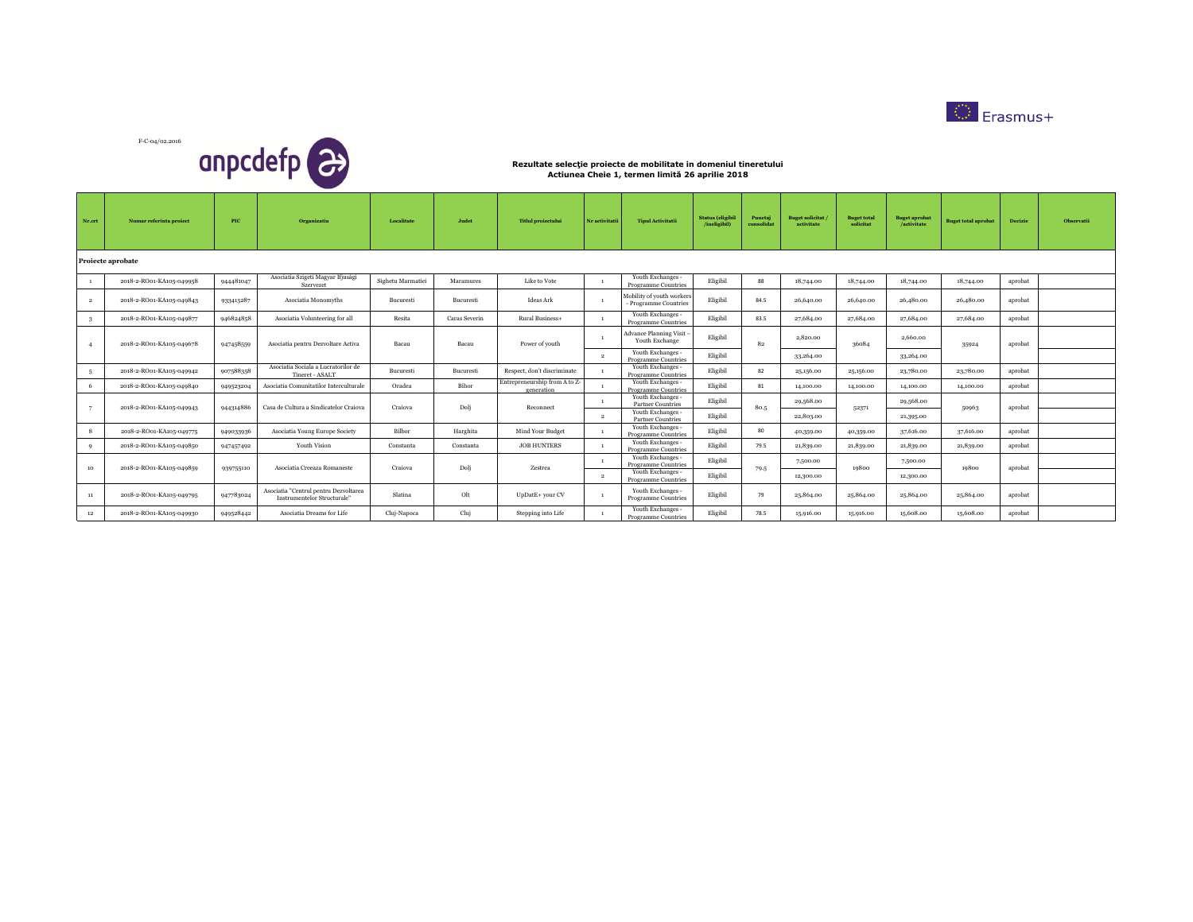



| Nr.crt         | Numar referinta project  | <b>PIC</b> | <b>Organizatia</b>                                                   | Localitate        | Judet         | <b>Titlul projectului</b>                   | Nr activitatii | <b>Tipul Activitatii</b>                           | <b>Status</b> (eligibil<br>/ineligibil) | Punctaj<br>consolidat | <b>Buget solicitat</b><br>activitate | <b>Buget total</b><br>solicitat | <b>Buget aprobat</b><br>/activitate | <b>Buget total aprobat</b> | <b>Decizie</b> | <b>Observatii</b> |
|----------------|--------------------------|------------|----------------------------------------------------------------------|-------------------|---------------|---------------------------------------------|----------------|----------------------------------------------------|-----------------------------------------|-----------------------|--------------------------------------|---------------------------------|-------------------------------------|----------------------------|----------------|-------------------|
|                | Proiecte aprobate        |            |                                                                      |                   |               |                                             |                |                                                    |                                         |                       |                                      |                                 |                                     |                            |                |                   |
|                | 2018-2-RO01-KA105-049958 | 944481047  | Asociatia Szigeti Magyar Ifjusági<br>Szervezet                       | Sighetu Marmatiei | Maramures     | Like to Vote                                |                | Youth Exchanges -<br><b>Programme Countries</b>    | Eligibil                                | 88                    | 18,744.00                            | 18,744.00                       | 18,744.00                           | 18,744.00                  | aprobat        |                   |
| $\overline{2}$ | 2018-2-RO01-KA105-049843 | 933415287  | Asociatia Monomyths                                                  | Bucuresti         | Bucuresti     | Ideas Ark                                   |                | Mobility of youth workers<br>- Programme Countries | Eligibil                                | 84.5                  | 26,640.00                            | 26,640.00                       | 26,480.00                           | 26,480.00                  | aprobat        |                   |
| -3             | 2018-2-RO01-KA105-049877 | 946824858  | Asociatia Volunteering for all                                       | Resita            | Caras Severin | Rural Business+                             |                | Youth Exchanges -<br><b>Programme Countries</b>    | Eligibil                                | 83.5                  | 27,684.00                            | 27,684.00                       | 27,684.00                           | 27,684.00                  | aprobat        |                   |
|                | 2018-2-RO01-KA105-049678 | 947458559  | Asociatia pentru Dezvoltare Activa                                   | Bacau             | Bacau         | Power of youth                              |                | Advance Planning Visit<br>Youth Exchange           | Eligibil                                | 82                    | 2,820.00                             | 36084                           | 2,660.00                            | 35924                      | aprobat        |                   |
|                |                          |            |                                                                      |                   |               |                                             | $\overline{2}$ | Youth Exchanges -<br><b>Programme Countries</b>    | Eligibil                                |                       | 33,264.00                            |                                 | 33,264.00                           |                            |                |                   |
| -5             | 2018-2-RO01-KA105-049942 | 907588358  | Asociatia Sociala a Lucratorilor de<br>Tineret - ASALT               | Bucuresti         | Bucuresti     | Respect, don't discriminate                 |                | Youth Exchanges -<br><b>Programme Countries</b>    | Eligibil                                | 82                    | 25,156.00                            | 25,156.00                       | 23,780.00                           | 23,780.00                  | aprobat        |                   |
| -6             | 2018-2-RO01-KA105-049840 | 949523204  | Asociatia Comunitatilor Interculturale                               | Oradea            | Bihor         | Entrepreneurship from A to Z-<br>generation |                | Youth Exchanges -<br>Programme Countries           | Eligibil                                | 81                    | 14,100.00                            | 14,100.00                       | 14,100.00                           | 14,100.00                  | aprobat        |                   |
| $\overline{7}$ | 2018-2-RO01-KA105-049943 | 944314886  | Casa de Cultura a Sindicatelor Craiova                               | Craiova           | Dolj          | Reconnect                                   | $\overline{1}$ | Youth Exchanges -<br>Partner Countries             | Eligibil                                | 80.5                  | 29,568.00                            | 52371                           | 29,568.00                           | 50963                      | aprobat        |                   |
|                |                          |            |                                                                      |                   |               |                                             | $\overline{2}$ | Youth Exchanges -<br><b>Partner Countries</b>      | Eligibil                                |                       | 22,803.00                            |                                 | 21,395.00                           |                            |                |                   |
| $\mathbf{R}$   | 2018-2-RO01-KA105-049775 | 949033936  | Asociatia Young Europe Society                                       | Bilbor            | Harghita      | Mind Your Budget                            |                | Youth Exchanges -<br>Programme Countries           | Eligibil                                | 80                    | 40,359.00                            | 40,359.00                       | 37,616.00                           | 37,616.00                  | aprobat        |                   |
| $\mathbf{Q}$   | 2018-2-RO01-KA105-049850 | 947457492  | Youth Vision                                                         | Constanta         | Constanta     | <b>JOB HUNTERS</b>                          |                | Youth Exchanges -<br>Programme Countries           | Eligibil                                | 79.5                  | 21,839.00                            | 21,839.00                       | 21,839.00                           | 21,839.00                  | aprobat        |                   |
| 10             | 2018-2-RO01-KA105-049859 | 939755110  | Asociatia Creeaza Romaneste                                          | Craiova           | Dolj          | Zestrea                                     |                | Youth Exchanges -<br><b>Programme Countries</b>    | Eligibil                                | 79.5                  | 7,500.00                             | 19800                           | 7,500.00                            | 19800                      | aprobat        |                   |
|                |                          |            |                                                                      |                   |               |                                             | $\overline{2}$ | Youth Exchanges -<br><b>Programme Countries</b>    | Eligibil                                |                       | 12,300.00                            |                                 | 12,300.00                           |                            |                |                   |
| 11             | 2018-2-RO01-KA105-049795 | 947783024  | Asociatia "Centrul pentru Dezvoltarea<br>Instrumentelor Structurale" | Slatina           | Olt           | UpDatE+ your CV                             |                | Youth Exchanges -<br>Programme Countries           | Eligibil                                | 79                    | 25,864.00                            | 25,864.00                       | 25,864.00                           | 25,864.00                  | aprobat        |                   |
| 12             | 2018-2-RO01-KA105-049930 | 949528442  | Asociatia Dreams for Life                                            | Cluj-Napoca       | Cluj          | Stepping into Life                          |                | Youth Exchanges -<br><b>Programme Countries</b>    | Eligibil                                | 78.5                  | 15,916.00                            | 15,916.00                       | 15,608.00                           | 15,608,00                  | aprobat        |                   |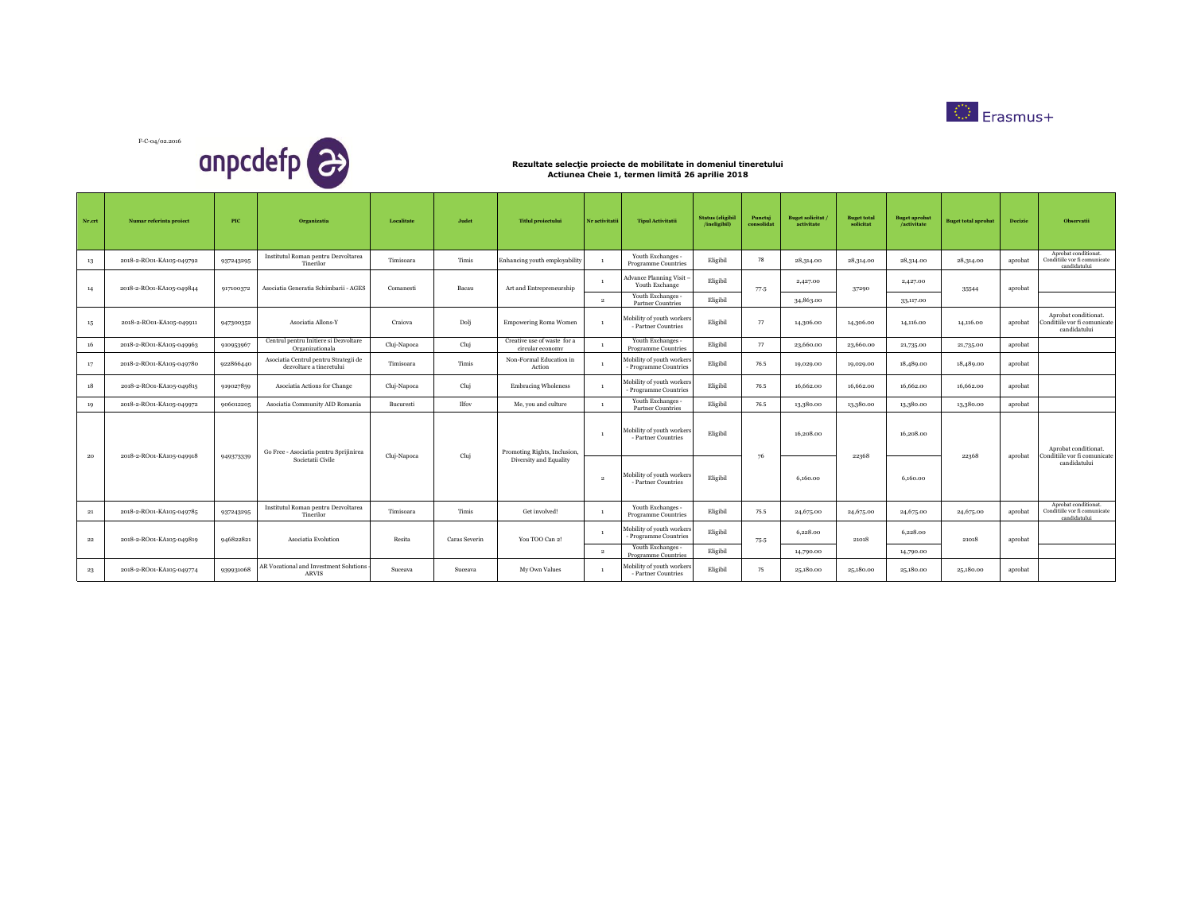



| Nr.crt | Numar referinta proiect  | PIC       | Organizatia                                                       | Localitate  | Judet         | <b>Titlul</b> proiectului                       | Nr activitatii | <b>Tipul Activitatii</b>                                      | <b>Status</b> (eligibil<br>/ineligibil) | Punctaj<br>consolidat | <b>Buget solicitat</b><br>activitate | <b>Buget total</b><br>solicitat | <b>Buget aprobat</b><br>/activitate | <b>Buget total aprobat</b> | Decizie | Observatii                                                           |
|--------|--------------------------|-----------|-------------------------------------------------------------------|-------------|---------------|-------------------------------------------------|----------------|---------------------------------------------------------------|-----------------------------------------|-----------------------|--------------------------------------|---------------------------------|-------------------------------------|----------------------------|---------|----------------------------------------------------------------------|
| 13     | 2018-2-RO01-KA105-049792 | 937243295 | Institutul Roman pentru Dezvoltarea<br>Tinerilor                  | Timisoara   | Timis         | Enhancing youth employability                   |                | Youth Exchanges -<br>Programme Countries                      | Eligibil                                | 78                    | 28,314.00                            | 28,314.00                       | 28,314.00                           | 28,314.00                  | aprobat | Aprobat conditionat.<br>Conditiile vor fi comunicate<br>candidatului |
| 14     | 2018-2-RO01-KA105-049844 | 917100372 | Asociatia Generatia Schimbarii - AGES                             | Comanesti   | Bacau         | Art and Entrepreneurship                        |                | Advance Planning Visit<br>Youth Exchange<br>Youth Exchanges - | Eligibil                                | 77-5                  | 2,427.00                             | 37290                           | 2,427.00                            | 35544                      | aprobat |                                                                      |
|        |                          |           |                                                                   |             |               |                                                 | $\overline{2}$ | <b>Partner Countries</b>                                      | Eligibil                                |                       | 34,863.00                            |                                 | 33,117.00                           |                            |         |                                                                      |
| 15     | 2018-2-RO01-KA105-049911 | 947300352 | Asociatia Allons-Y                                                | Craiova     | Dolj          | <b>Empowering Roma Women</b>                    |                | Mobility of youth workers<br>- Partner Countries              | Eligibil                                | 77                    | 14,306.00                            | 14,306.00                       | 14,116.00                           | 14,116.00                  | aprobat | Aprobat conditionat.<br>Conditiile vor fi comunicate<br>candidatului |
| 16     | 2018-2-RO01-KA105-049963 | 910953967 | Centrul pentru Initiere si Dezvoltare<br>Organizationala          | Cluj-Napoca | Cluj          | Creative use of waste for a<br>circular economy |                | Youth Exchanges -<br><b>Programme Countries</b>               | Eligibil                                | 77                    | 23,660.00                            | 23,660.00                       | 21,735.00                           | 21,735.00                  | aprobat |                                                                      |
| 17     | 2018-2-RO01-KA105-049780 | 922866440 | Asociatia Centrul pentru Strategii de<br>dezvoltare a tineretului | Timisoara   | Timis         | Non-Formal Education in<br>Action               |                | Mobility of youth workers<br>- Programme Countries            | Eligibil                                | 76.5                  | 19,029.00                            | 19,029.00                       | 18,489.00                           | 18,489.00                  | aprobat |                                                                      |
| 18     | 2018-2-RO01-KA105-049815 | 919027859 | Asociatia Actions for Change                                      | Cluj-Napoca | Cluj          | <b>Embracing Wholeness</b>                      |                | Mobility of youth workers<br>- Programme Countries            | Eligibil                                | 76.5                  | 16,662.00                            | 16,662.00                       | 16,662.00                           | 16,662.00                  | aprobat |                                                                      |
| 19     | 2018-2-RO01-KA105-049972 | 906012205 | Asociatia Community AID Romania                                   | Bucuresti   | Ilfov         | Me, you and culture                             | $\mathbf{1}$   | Youth Exchanges -<br><b>Partner Countries</b>                 | Eligibil                                | 76.5                  | 13,380.00                            | 13,380.00                       | 13,380.00                           | 13,380.00                  | aprobat |                                                                      |
| 20     | 2018-2-RO01-KA105-049918 |           | Go Free - Asociatia pentru Sprijinirea                            | Cluj-Napoca | Cluj          | Promoting Rights, Inclusion.                    | $\overline{1}$ | Mobility of youth workers<br>- Partner Countries              | Eligibil                                | 76                    | 16,208.00                            | 22368                           | 16,208.00                           | 22368                      | aprobat | Aprobat conditionat.<br>Conditiile vor fi comunicate                 |
|        |                          | 949373339 | Societatii Civile                                                 |             |               | Diversity and Equality                          | $\overline{2}$ | Mobility of youth workers<br>- Partner Countries              | Eligibil                                |                       | 6,160,00                             |                                 | 6,160,00                            |                            |         | candidatului                                                         |
| 21     | 2018-2-RO01-KA105-049785 | 937243295 | Institutul Roman pentru Dezvoltarea<br>Tinerilor                  | Timisoara   | Timis         | Get involved!                                   |                | Youth Exchanges -<br>Programme Countries                      | Eligibil                                | 75.5                  | 24,675.00                            | 24,675.00                       | 24,675.00                           | 24,675.00                  | aprobat | Aprobat conditionat.<br>Conditiile vor fi comunicate<br>candidatului |
| 22     | 2018-2-RO01-KA105-049819 | 946822821 | Asociatia Evolution                                               | Resita      | Caras Severin | You TOO Can 2!                                  |                | Mobility of youth workers<br>- Programme Countries            | Eligibil                                | 75-5                  | 6,228.00                             | 21018                           | 6,228.00                            | 21018                      | aprobat |                                                                      |
|        |                          |           |                                                                   |             |               |                                                 | $\overline{2}$ | Youth Exchanges -<br>Programme Countries                      | Eligibil                                |                       | 14,790.00                            |                                 | 14,790.00                           |                            |         |                                                                      |
| 23     | 2018-2-RO01-KA105-049774 | 939931068 | AR Vocational and Investment Solutions<br><b>ARVIS</b>            | Suceava     | Suceava       | My Own Values                                   |                | Mobility of youth workers<br>- Partner Countries              | Eligibil                                | 75                    | 25,180,00                            | 25,180.00                       | 25,180.00                           | 25,180.00                  | aprobat |                                                                      |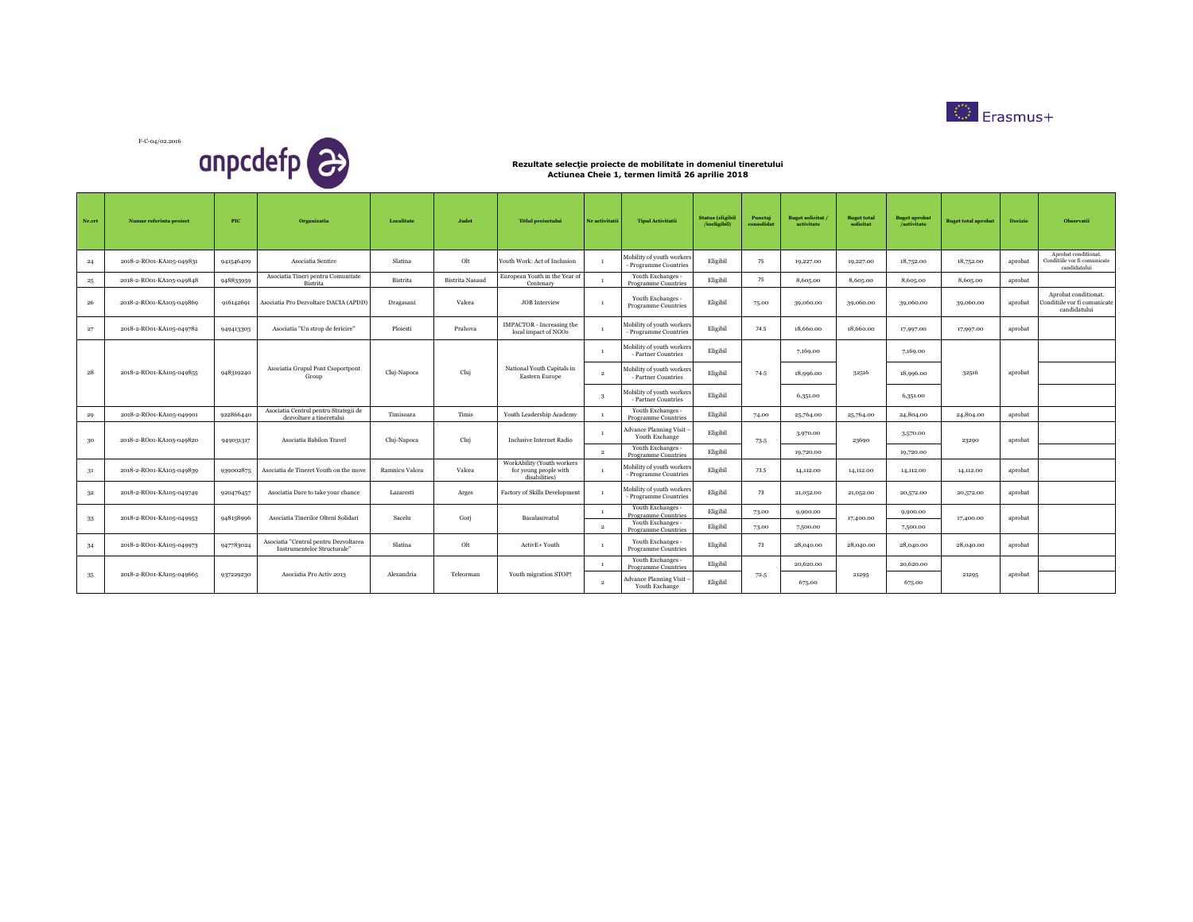



| Nr.crt | Numar referinta proiect  | <b>PIC</b> | Organizatia                                                          | Localitate     | Judet                  | <b>Titlul</b> projectului                                            | Nr activitatii | <b>Tipul Activitatii</b>                           | <b>Status</b> (eligibil<br>/ineligibil) | Punctaj<br>consolidat | <b>Buget solicitat</b><br>activitate | <b>Buget total</b><br>solicitat | <b>Buget aprobat</b><br>/activitate | <b>Buget total aprobat</b> | <b>Decizie</b> | <b>Observatii</b>                                                    |
|--------|--------------------------|------------|----------------------------------------------------------------------|----------------|------------------------|----------------------------------------------------------------------|----------------|----------------------------------------------------|-----------------------------------------|-----------------------|--------------------------------------|---------------------------------|-------------------------------------|----------------------------|----------------|----------------------------------------------------------------------|
| 24     | 2018-2-RO01-KA105-049831 | 941546409  | Asociatia Sentire                                                    | Slatina        | Olt                    | Youth Work: Act of Inclusion                                         |                | Mobility of youth workers<br>- Programme Countries | Eligibil                                | 75                    | 19,227.00                            | 19,227.00                       | 18,752.00                           | 18,752.00                  | aprobat        | Aprobat conditionat.<br>Conditiile vor fi comunicate<br>candidatului |
| 25     | 2018-2-RO01-KA105-049848 | 948835959  | Asociatia Tineri pentru Comunitate<br>Bistrita                       | Bistrita       | <b>Bistrita</b> Nasaud | European Youth in the Year of<br>Centenary                           |                | Youth Exchanges -<br>Programme Countries           | Eligibil                                | 75                    | 8,605.00                             | 8,605.00                        | 8,605.00                            | 8,605.00                   | aprobat        |                                                                      |
| 26     | 2018-2-RO01-KA105-049869 | 916142691  | Asociatia Pro Dezvoltare DACIA (APDD)                                | Dragasani      | Valcea                 | <b>JOB</b> Interview                                                 |                | Youth Exchanges -<br><b>Programme Countries</b>    | Eligibil                                | 75.00                 | 39,060.00                            | 39,060.00                       | 39,060.00                           | 39,060.00                  | aprobat        | Aprobat conditionat.<br>Conditiile vor fi comunicate<br>candidatului |
| 27     | 2018-2-RO01-KA105-049782 | 949413303  | Asociatia "Un strop de fericire"                                     | Ploiesti       | Prahova                | <b>IMPACTOR</b> - Increasing the<br>local impact of NGOs             |                | Mobility of youth workers<br>- Programme Countries | Eligibil                                | 74.5                  | 18,660,00                            | 18,660,00                       | 17,997.00                           | 17,997.00                  | aprobat        |                                                                      |
|        |                          |            |                                                                      |                |                        |                                                                      |                | Mobility of youth workers<br>- Partner Countries   | Eligibil                                |                       | 7,169.00                             |                                 | 7,169.00                            |                            |                |                                                                      |
| 28     | 2018-2-RO01-KA105-049855 | 948319240  | Asociatia Grupul Pont Csoportpont<br>Group                           | Cluj-Napoca    | Cluj                   | National Youth Capitals in<br>Eastern Europe                         | $\overline{2}$ | Mobility of youth workers<br>- Partner Countries   | Eligibil                                | 74-5                  | 18,996.00                            | 32516                           | 18,996.00                           | 32516                      | aprobat        |                                                                      |
|        |                          |            |                                                                      |                |                        |                                                                      | -3             | Mobility of youth workers<br>- Partner Countries   | Eligibil                                |                       | 6,351.00                             |                                 | 6,351.00                            |                            |                |                                                                      |
| 29     | 2018-2-RO01-KA105-049901 | 922866440  | Asociatia Centrul pentru Strategii de<br>dezvoltare a tineretului    | Timisoara      | Timis                  | Youth Leadership Academy                                             |                | Youth Exchanges -<br>Programme Countries           | Eligibil                                | 74.00                 | 25,764.00                            | 25,764.00                       | 24,804.00                           | 24,804.00                  | aprobat        |                                                                      |
| 30     | 2018-2-RO01-KA105-049820 | 949031317  | Asociatia Babilon Travel                                             | Cluj-Napoca    | Cluj                   | Inclusive Internet Radio                                             |                | <b>Advance Planning Visit</b><br>Youth Exchange    | Eligibil                                | 73-5                  | 3,970.00                             | 23690                           | 3,570.00                            | 23290                      | aprobat        |                                                                      |
|        |                          |            |                                                                      |                |                        |                                                                      | $\overline{2}$ | Youth Exchanges -<br>Programme Countries           | Eligibil                                |                       | 19,720.00                            |                                 | 19,720.00                           |                            |                |                                                                      |
| 31     | 2018-2-RO01-KA105-049839 | 939002875  | Asociatia de Tineret Youth on the move                               | Ramnicu Valcea | Valcea                 | WorkAbility (Youth workers<br>for young people with<br>disabilities) |                | Mobility of youth workers<br>- Programme Countries | Eligibil                                | 73.5                  | 14,112.00                            | 14,112.00                       | 14,112.00                           | 14,112.00                  | aprobat        |                                                                      |
| 32     | 2018-2-RO01-KA105-049749 | 920476457  | Asociatia Dare to take your chance                                   | Lazaresti      | Arges                  | Factory of Skills Development                                        |                | Mobility of youth workers<br>- Programme Countries | Eligibil                                | 73                    | 21,052.00                            | 21,052.00                       | 20,572.00                           | 20,572.00                  | aprobat        |                                                                      |
| 33     | 2018-2-RO01-KA105-049953 | 948158996  | Asociatia Tinerilor Olteni Solidari                                  | Sacelu         | Gorj                   | Bacalaureatul                                                        |                | Youth Exchanges -<br><b>Programme Countries</b>    | Eligibil                                | 73.00                 | 9,900.00                             | 17,400.00                       | 9,900.00                            | 17,400.00                  | aprobat        |                                                                      |
|        |                          |            |                                                                      |                |                        |                                                                      | $\overline{2}$ | Youth Exchanges -<br><b>Programme Countries</b>    | Eligibil                                | 73.00                 | 7,500.00                             |                                 | 7,500.00                            |                            |                |                                                                      |
| 34     | 2018-2-RO01-KA105-049973 | 947783024  | Asociatia "Centrul pentru Dezvoltarea<br>Instrumentelor Structurale" | Slatina        | Olt                    | ActivE+ Youth                                                        |                | Youth Exchanges -<br>Programme Countries           | Eligibil                                | 73                    | 28,040.00                            | 28,040.00                       | 28,040.00                           | 28,040.00                  | aprobat        |                                                                      |
|        |                          |            |                                                                      |                |                        |                                                                      |                | Youth Exchanges -<br><b>Programme Countries</b>    | Eligibil                                |                       | 20,620,00                            |                                 | 20,620,00                           |                            |                |                                                                      |
| 35     | 2018-2-RO01-KA105-049665 | 937229230  | Asociatia Pro Activ 2013                                             | Alexandria     | Teleorman              | Youth migration STOP!                                                | $\overline{2}$ | <b>Advance Planning Visit</b><br>Youth Exchange    | Eligibil                                | 72.5                  | 675.00                               | 21295                           | 675.00                              | 21295                      | aprobat        |                                                                      |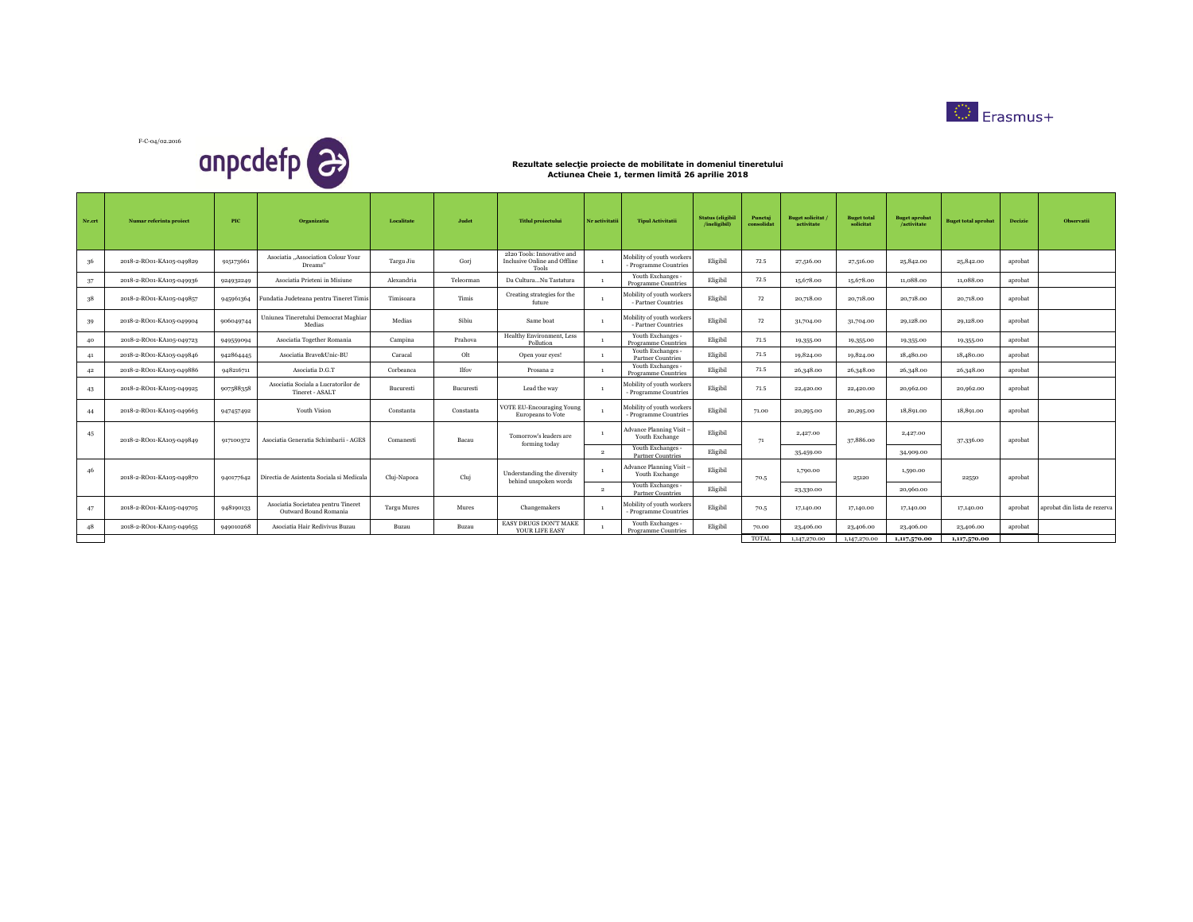

F-C-04/02.2016 anpcdefp<sup>2</sup>

| Nr.crt | Numar referinta proiect  | PIC       | Organizatia                                                  | Localitate         | Judet     | <b>Titlul</b> proiectului                                           | Nr activitatii | <b>Tipul Activitatii</b>                           | <b>Status</b> (eligibil<br>/ineligibil) | Punctaj<br>consolidat | <b>Buget solicitat</b><br>activitate | <b>Buget total</b><br>solicitat | <b>Buget</b> aprobat<br>/activitate | <b>Buget total aprobat</b> | Decizie | Observatii                   |
|--------|--------------------------|-----------|--------------------------------------------------------------|--------------------|-----------|---------------------------------------------------------------------|----------------|----------------------------------------------------|-----------------------------------------|-----------------------|--------------------------------------|---------------------------------|-------------------------------------|----------------------------|---------|------------------------------|
| 36     | 2018-2-RO01-KA105-049829 | 915173661 | Asociatia "Association Colour Your<br>Dreams"                | Targu Jiu          | Gori      | 2I20 Tools: Innovative and<br>Inclusive Online and Offline<br>Tools |                | Mobility of youth workers<br>- Programme Countries | Eligibil                                | 72.5                  | 27,516.00                            | 27,516.00                       | 25,842.00                           | 25,842.00                  | aprobat |                              |
| 37     | 2018-2-RO01-KA105-049936 | 924932249 | Asociatia Prieteni in Misiune                                | Alexandria         | Teleorman | Da CulturaNu Tastatura                                              |                | Youth Exchanges -<br><b>Programme Countries</b>    | Eligibil                                | 72.5                  | 15,678.00                            | 15,678.00                       | 11,088.00                           | 11,088,00                  | aprobat |                              |
| 38     | 2018-2-RO01-KA105-049857 | 945961364 | Fundatia Judeteana pentru Tineret Timis                      | Timisoara          | Timis     | Creating strategies for the<br>future                               |                | Mobility of youth workers<br>- Partner Countries   | Eligibil                                | 72                    | 20,718.00                            | 20,718.00                       | 20,718.00                           | 20,718.00                  | aprobat |                              |
| 39     | 2018-2-RO01-KA105-049904 | 906049744 | Uniunea Tineretului Democrat Maghiar<br>Medias               | Medias             | Sibiu     | Same boat                                                           |                | Mobility of youth workers<br>- Partner Countries   | Eligibil                                | 72                    | 31,704.00                            | 31,704.00                       | 29,128.00                           | 29,128.00                  | aprobat |                              |
| 40     | 2018-2-RO01-KA105-049723 | 949559094 | Asociatia Together Romania                                   | Campina            | Prahova   | Healthy Environment, Less<br>Pollution                              |                | Youth Exchanges -<br><b>Programme Countries</b>    | Eligibil                                | 71.5                  | 19,355.00                            | 19,355.00                       | 19,355.00                           | 19,355.00                  | aprobat |                              |
| 41     | 2018-2-RO01-KA105-049846 | 942864445 | Asociatia Brave&Unic-BU                                      | Caracal            | Olt       | Open your eyes!                                                     |                | Youth Exchanges -<br>Partner Countries             | Eligibil                                | 71.5                  | 19,824.00                            | 19,824.00                       | 18,480.00                           | 18,480.00                  | aprobat |                              |
| 42     | 2018-2-RO01-KA105-049886 | 948216711 | Asociatia D.G.T                                              | Corbeanca          | Ilfov     | Prosana 2                                                           |                | Youth Exchanges -<br><b>Programme Countries</b>    | Eligibil                                | 71.5                  | 26,348.00                            | 26,348.00                       | 26,348.00                           | 26,348.00                  | aprobat |                              |
| 43     | 2018-2-RO01-KA105-049925 | 907588358 | Asociatia Sociala a Lucratorilor de<br>Tineret - ASALT       | Bucuresti          | Bucuresti | Lead the way                                                        |                | Mobility of youth workers<br>- Programme Countries | Eligibil                                | 71.5                  | 22,420.00                            | 22,420.00                       | 20,962.00                           | 20,962.00                  | aprobat |                              |
| 44     | 2018-2-RO01-KA105-049663 | 947457492 | Youth Vision                                                 | Constanta          | Constanta | <b>VOTE EU-Encouraging Young</b><br>Europeans to Vote               |                | Mobility of youth workers<br>- Programme Countries | Eligibil                                | 71.00                 | 20,295.00                            | 20,295.00                       | 18,891.00                           | 18,891.00                  | aprobat |                              |
| 45     | 2018-2-RO01-KA105-049849 | 917100372 | Asociatia Generatia Schimbarii - AGES                        | Comanesti          | Bacau     | Tomorrow's leaders are<br>forming today                             |                | Advance Planning Visit -<br>Youth Exchange         | Eligibil                                | 71                    | 2,427.00                             | 37,886.00                       | 2,427.00                            | 37,336.00                  | aprobat |                              |
|        |                          |           |                                                              |                    |           |                                                                     | $\overline{2}$ | Youth Exchanges -<br><b>Partner Countries</b>      | Eligibil                                |                       | 35,459.00                            |                                 | 34,909.00                           |                            |         |                              |
| 46     | 2018-2-RO01-KA105-049870 | 940177642 | Directia de Asistenta Sociala si Medicala                    | Cluj-Napoca        | Cluj      | Understanding the diversity<br>behind unspoken words                |                | Advance Planning Visit -<br>Youth Exchange         | Eligibil                                | 70.5                  | 1,790.00                             | 25120                           | 1,590.00                            | 22550                      | aprobat |                              |
|        |                          |           |                                                              |                    |           |                                                                     | $\overline{2}$ | Youth Exchanges -<br><b>Partner Countries</b>      | Eligibil                                |                       | 23,330.00                            |                                 | 20,960.00                           |                            |         |                              |
| 47     | 2018-2-RO01-KA105-049705 | 948190133 | Asociatia Societatea pentru Tineret<br>Outward Bound Romania | <b>Targu Mures</b> | Mures     | Changemakers                                                        |                | Mobility of youth workers<br>- Programme Countries | Eligibil                                | 70.5                  | 17,140.00                            | 17,140.00                       | 17,140.00                           | 17,140.00                  | aprobat | aprobat din lista de rezerva |
| 48     | 2018-2-RO01-KA105-049655 | 949010268 | Asociatia Hair Redivivus Buzau                               | Buzau              | Buzau     | EASY DRUGS DON'T MAKE<br>YOUR LIFE EASY                             |                | Youth Exchanges -<br>Programme Countries           | Eligibil                                | 70.00                 | 23,406.00                            | 23,406.00                       | 23,406.00                           | 23,406.00                  | aprobat |                              |
|        |                          |           |                                                              |                    |           |                                                                     |                |                                                    |                                         | <b>TOTAL</b>          | 1,147,270,00                         | 1,147,270,00                    | 1,117,570,00                        | 1,117,570.00               |         |                              |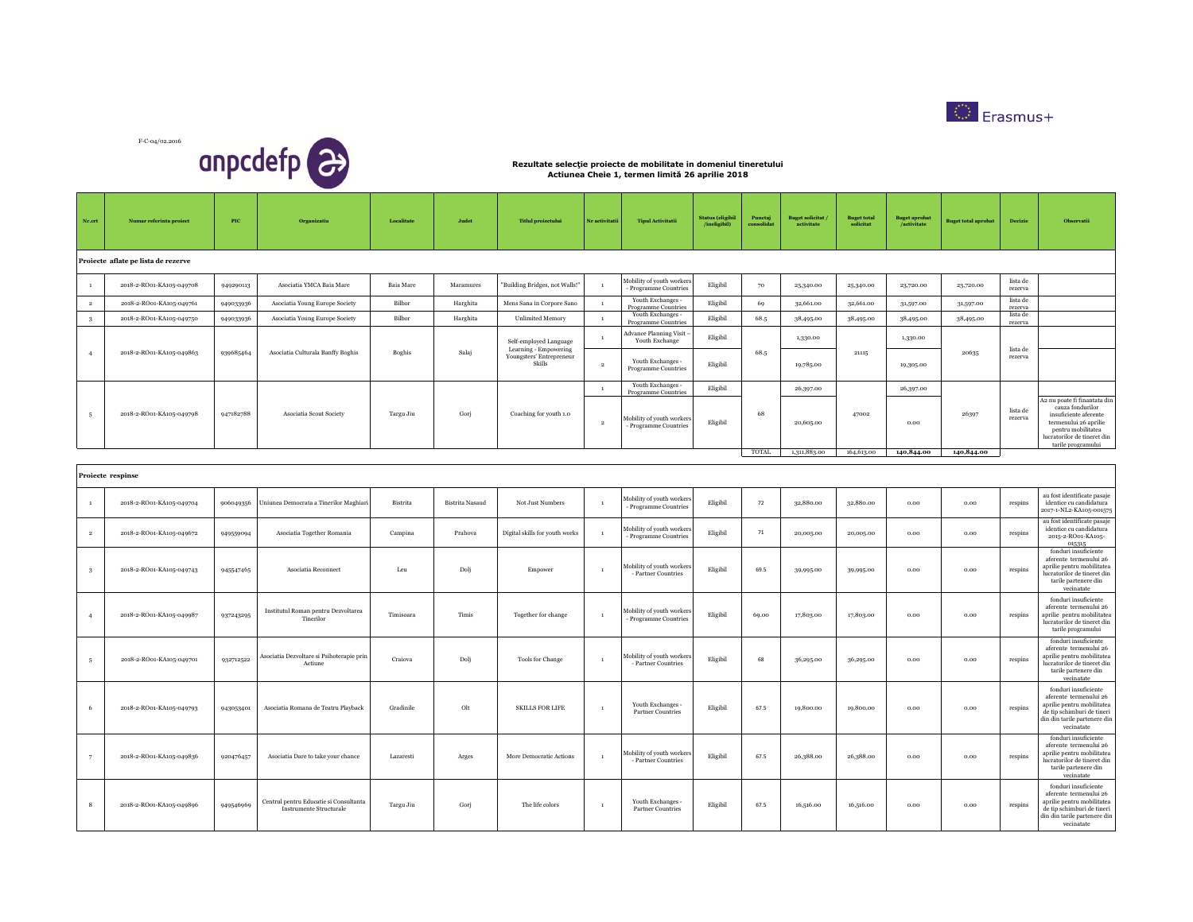



| Nr.crt                  | Numar referinta proiect             | PIC       | Organizatia                                                              | Localitate | Judet                  | <b>Titlul</b> proiectului                       | Nr activitatii | <b>Tipul Activitatii</b>                           | <b>Status</b> (eligibil<br>/ineligibil) | Punctaj<br>solidat | <b>Buget solicitat</b><br>activitate | <b>Buget total</b> | <b>Buget aprobat</b><br>/activitate | <b>Buget total aprobat</b> | Decizie             | Observatii                                                                                                                                                                    |
|-------------------------|-------------------------------------|-----------|--------------------------------------------------------------------------|------------|------------------------|-------------------------------------------------|----------------|----------------------------------------------------|-----------------------------------------|--------------------|--------------------------------------|--------------------|-------------------------------------|----------------------------|---------------------|-------------------------------------------------------------------------------------------------------------------------------------------------------------------------------|
|                         | Proiecte aflate pe lista de rezerve |           |                                                                          |            |                        |                                                 |                |                                                    |                                         |                    |                                      |                    |                                     |                            |                     |                                                                                                                                                                               |
| <sup>1</sup>            | 2018-2-RO01-KA105-049708            | 949290113 | Asociatia YMCA Baia Mare                                                 | Baia Mare  | Maramures              | "Building Bridges, not Walls!"                  |                | Aobility of youth workers<br>- Programme Countries | Eligibil                                | 70                 | 25,340.00                            | 25,340.00          | 23,720.00                           | 23,720.00                  | lista de<br>rezerva |                                                                                                                                                                               |
| $\,$ 2 $\,$             | 2018-2-RO01-KA105-049761            | 949033936 | Asociatia Young Europe Society                                           | Bilbor     | Harghita               | Mens Sana in Corpore Sano                       | $\mathbf{1}$   | Youth Exchanges -<br>Programme Countries           | Eligibil                                | 69                 | 32,661.00                            | 32,661.00          | 31,597.00                           | 31,597.00                  | lista de<br>rezerva |                                                                                                                                                                               |
| $\overline{\mathbf{3}}$ | 2018-2-RO01-KA105-049750            | 949033936 | Asociatia Young Europe Society                                           | Bilbor     | Harghita               | <b>Unlimited Memory</b>                         |                | Youth Exchanges -<br>Programme Countrie            | Eligibil                                | 68.5               | 38,495.00                            | 38,495.00          | 38,495.00                           | 38,495.00                  | lista de<br>rezerva |                                                                                                                                                                               |
|                         |                                     |           |                                                                          |            |                        | Self-employed Language<br>Learning - Empowering |                | <b>Advance Planning Visit</b><br>Youth Exchange    | Eligibil                                |                    | 1,330.00                             |                    | 1,330.00                            |                            | lista de            |                                                                                                                                                                               |
| $\overline{4}$          | 2018-2-RO01-KA105-049863            | 939685464 | Asociatia Culturala Banffy Boghis                                        | Boghis     | Salaj                  | Youngsters' Entrepreneur<br>Skills              | $\overline{2}$ | Youth Exchanges -<br>Programme Countries           | Eligibil                                | 68.5               | 19,785.00                            | 21115              | 19,305.00                           | 20635                      | rezerva             |                                                                                                                                                                               |
|                         |                                     |           |                                                                          |            |                        |                                                 | $\mathbf{1}$   | Youth Exchanges -<br><b>Programme Countries</b>    | Eligibil                                |                    | 26,397.00                            |                    | 26,397.00                           |                            |                     |                                                                                                                                                                               |
| 5                       | 2018-2-RO01-KA105-049798            | 947182788 | Asociatia Scout Society                                                  | Targu Jiu  | Gorj                   | Coaching for youth 1.0                          | $\overline{2}$ | Mobility of youth workers<br>Programme Countries   | Eligibil                                | 68                 | 20,605.00                            | 47002              | 0.00                                | 26397                      | lista de<br>rezerva | A2 nu poate fi finantata din<br>cauza fondurilor<br>insuficiente aferente<br>termenului 26 aprilie<br>pentru mobilitatea<br>lucratorilor de tineret din<br>tarile programului |
|                         |                                     |           |                                                                          |            |                        |                                                 |                |                                                    |                                         | TOTAL              | 1,311,883.00                         | 164,613.00         | 140,844.00                          | 140,844.00                 |                     |                                                                                                                                                                               |
|                         | Proiecte respinse                   |           |                                                                          |            |                        |                                                 |                |                                                    |                                         |                    |                                      |                    |                                     |                            |                     |                                                                                                                                                                               |
| $\mathbf{1}$            | 2018-2-RO01-KA105-049704            | 906049356 | Uniunea Democrata a Tinerilor Maghiar                                    | Bistrita   | <b>Bistrita Nasaud</b> | Not Just Numbers                                | $\mathbf{1}$   | Mobility of youth workers<br>- Programme Countries | Eligibil                                | 72                 | 32,880.00                            | 32,880.00          | 0.00                                | 0.00                       | respins             | au fost identificate pasaje<br>identice cu candidatura<br>2017-1-NL2-KA105-001575                                                                                             |
| $\,$ $\,$ $\,$          | 2018-2-RO01-KA105-049672            | 949559094 | Asociatia Together Romania                                               | Campina    | Prahova                | Digital skills for youth works                  |                | Mobility of youth workers<br>- Programme Countries | Eligibil                                | $71\,$             | 20,005.00                            | 20,005.00          | 0.00                                | 0.00                       | respins             | au fost identificate pasaje<br>identice cu candidatura<br>2015-2-RO01-KA105-<br>015315                                                                                        |
| 3                       | 2018-2-RO01-KA105-049743            | 945547465 | Asociatia Reconnect                                                      | Leu        | Dolj                   | Empower                                         | $\mathbf{1}$   | Mobility of youth workers<br>- Partner Countries   | Eligibil                                | 69.5               | 39,995.00                            | 39,995.00          | $_{0.00}$                           | 0.00                       | respins             | fonduri insuficiente<br>aferente termenului 26<br>aprilie pentru mobilitatea<br>lucratorilor de tineret din<br>tarile partenere din<br>vecinatate                             |
| $\overline{4}$          | 2018-2-RO01-KA105-049987            | 937243295 | Institutul Roman pentru Dezvoltarea<br>Tinerilor                         | Timisoara  | Timis                  | Together for change                             |                | Mobility of youth workers<br>- Programme Countries | Eligibil                                | 69.00              | 17,803.00                            | 17,803.00          | 0.00                                | 0.00                       | respins             | fonduri insuficiente<br>aferente termenului 26<br>aprilie pentru mobilitatea<br>lucratorilor de tineret din<br>tarile programului                                             |
| $\sqrt{5}$              | 2018-2-RO01-KA105-049701            | 932712522 | Asociatia Dezvoltare si Psihoterapie prin<br>Actiune                     | Craiova    | Dolj                   | Tools for Change                                | $\mathbf{1}$   | Aobility of youth workers<br>- Partner Countries   | Eligibil                                | 68                 | 36,295.00                            | 36,295.00          | 0.00                                | 0.00                       | respins             | fonduri insuficiente<br>aferente termenului 26<br>aprilie pentru mobilitatea<br>lucratorilor de tineret din<br>tarile partenere din<br>vecinatate                             |
| 6                       | 2018-2-RO01-KA105-049793            | 943053401 | Asociatia Romana de Teatru Playback                                      | Gradinile  | $_{\rm Olt}$           | <b>SKILLS FOR LIFE</b>                          | $\mathbf{1}$   | Youth Exchanges -<br><b>Partner Countries</b>      | Eligibil                                | 67.5               | 19,800.00                            | 19,800.00          | 0.00                                | 0.00                       | respins             | fonduri insuficiente<br>aferente termenului 26<br>aprilie pentru mobilitatea<br>de tip schimburi de tineri<br>din din tarile partenere din<br>vecinatate                      |
| $\overline{7}$          | 2018-2-RO01-KA105-049836            | 920476457 | Asociatia Dare to take your chance                                       | Lazaresti  | Arges                  | More Democratic Actions                         |                | Mobility of youth workers<br>- Partner Countries   | Eligibil                                | 67.5               | 26,388.00                            | 26,388.00          | $_{0.00}$                           | 0.00                       | respins             | fonduri insuficiente<br>aferente termenului 26<br>aprilie pentru mobilitatea<br>lucratorilor de tineret din<br>tarile partenere din<br>vecinatate                             |
| 8                       | 2018-2-RO01-KA105-049896            | 949546969 | Centrul pentru Educatie si Consultanta<br><b>Instrumente Structurale</b> | Targu Jiu  | Gorj                   | The life colors                                 | $\mathbf{1}$   | Youth Exchanges -<br><b>Partner Countries</b>      | Eligibil                                | 67.5               | 16,516.00                            | 16,516.00          | $_{0.00}$                           | $_{0.00}$                  | respins             | fonduri insuficiente<br>aferente termenului 26<br>aprilie pentru mobilitatea<br>de tip schimburi de tineri<br>din din tarile partenere din<br>vecinatate                      |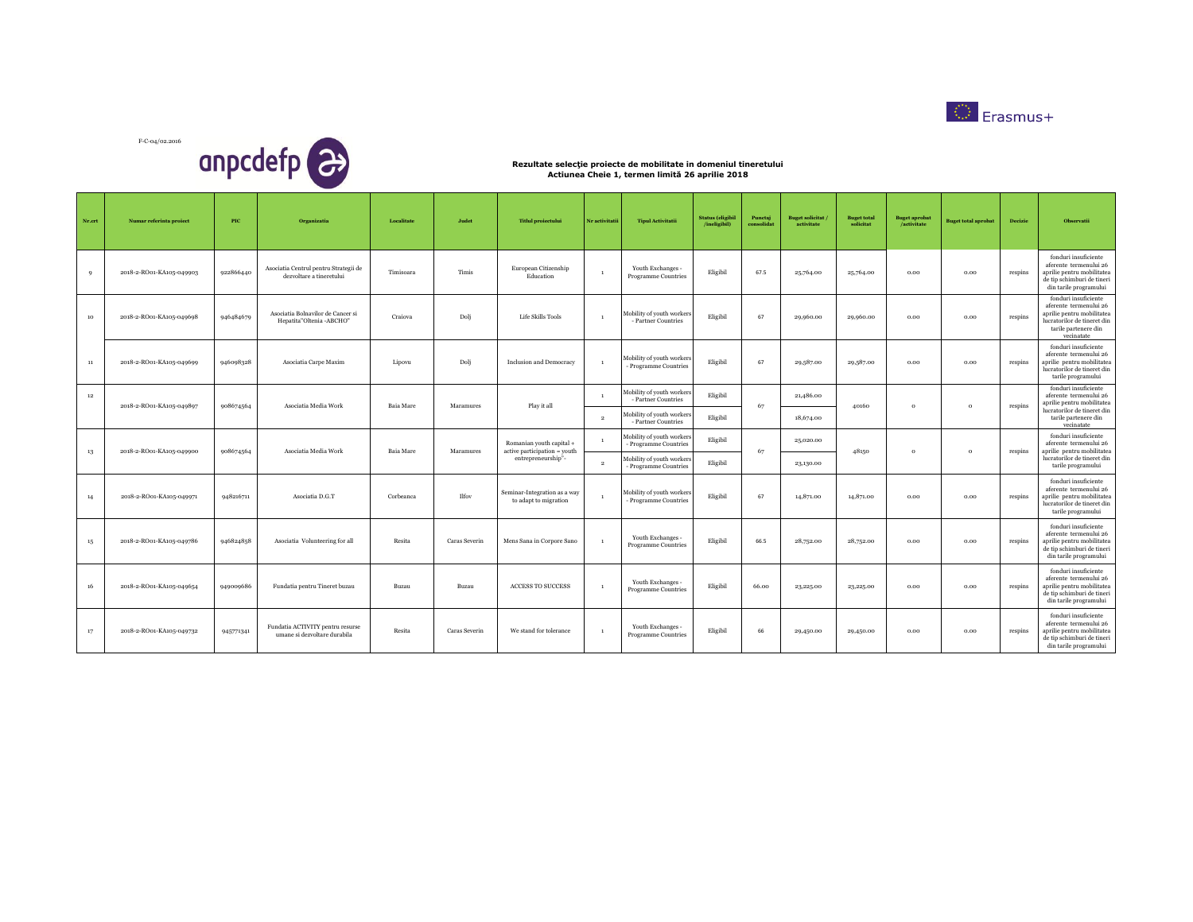



| Nr.crt      | Numar referinta proiect  | $_{\rm{PIC}}$ | Organizatia                                                       | Localitate       | Judet         | <b>Titlul</b> proiectului                                                      | Nr activitatii                 | <b>Tipul Activitatii</b>                                                                             | <b>Status</b> (eligibil<br>/ineligibil) | Punctaj<br>consolidat | <b>Buget solicitat</b><br>activitate | <b>Buget total</b><br>solicitat | <b>Buget aprobat</b><br>/activitate | <b>Buget total aprobat</b> | Decizie | Observatii                                                                                                                                        |
|-------------|--------------------------|---------------|-------------------------------------------------------------------|------------------|---------------|--------------------------------------------------------------------------------|--------------------------------|------------------------------------------------------------------------------------------------------|-----------------------------------------|-----------------------|--------------------------------------|---------------------------------|-------------------------------------|----------------------------|---------|---------------------------------------------------------------------------------------------------------------------------------------------------|
| $\mathbf Q$ | 2018-2-RO01-KA105-049903 | 922866440     | Asociatia Centrul pentru Strategii de<br>dezvoltare a tineretului | Timisoara        | Timis         | European Citizenship<br>Education                                              |                                | Youth Exchanges -<br>Programme Countries                                                             | Eligibil                                | 67.5                  | 25,764.00                            | 25,764.00                       | 0.00                                | 0.00                       | respins | fonduri insuficiente<br>aferente termenului 26<br>aprilie pentru mobilitatea<br>de tip schimburi de tineri<br>din tarile programului              |
| 10          | 2018-2-RO01-KA105-049698 | 946484679     | Asociatia Bolnavilor de Cancer si<br>Hepatita"Oltenia -ABCHO"     | Craiova          | Dolj          | Life Skills Tools                                                              | $\overline{1}$                 | Mobility of youth workers<br>- Partner Countries                                                     | Eligibil                                | 67                    | 29,960.00                            | 29,960.00                       | 0.00                                | 0.00                       | respins | fonduri insuficiente<br>aferente termenului 26<br>aprilie pentru mobilitatea<br>lucratorilor de tineret din<br>tarile partenere din<br>vecinatate |
| 11          | 2018-2-RO01-KA105-049699 | 946098328     | Asociatia Carpe Maxim                                             | Lipovu           | Dolj          | <b>Inclusion and Democracy</b>                                                 | $\mathbf{1}$                   | Mobility of youth workers<br>Programme Countries                                                     | Eligibil                                | 67                    | 29,587.00                            | 29,587.00                       | 0.00                                | 0.00                       | respins | fonduri insuficiente<br>aferente termenului 26<br>aprilie pentru mobilitatea<br>lucratorilor de tineret din<br>tarile programului                 |
| 12          | 2018-2-RO01-KA105-049897 | 908674564     | Asociatia Media Work                                              | <b>Baia</b> Mare | Maramures     | Play it all                                                                    | $\mathbf{1}$<br>$\overline{2}$ | Mobility of youth workers<br>- Partner Countries<br>Mobility of youth workers<br>- Partner Countries | Eligibil<br>Eligibil                    | 67                    | 21,486.00<br>18,674.00               | 40160                           | $\circ$                             | $\circ$                    | respins | fonduri insuficiente<br>aferente termenului 26<br>aprilie pentru mobilitatea<br>lucratorilor de tineret din<br>tarile partenere din<br>vecinatate |
| 13          | 2018-2-RO01-KA105-049900 | 908674564     | Asociatia Media Work                                              | Baia Mare        | Maramures     | Romanian youth capital +<br>active participation = youth<br>entrepreneurship"- | $\overline{2}$                 | Mobility of youth workers<br>Programme Countries<br>Mobility of youth workers<br>Programme Countries | Eligibil<br>Eligibil                    | 67                    | 25,020.00<br>23,130.00               | 48150                           | $\circ$                             | $\circ$                    | respins | fonduri insuficiente<br>aferente termenului 26<br>aprilie pentru mobilitatea<br>lucratorilor de tineret din<br>tarile programului                 |
| 14          | 2018-2-RO01-KA105-049971 | 948216711     | Asociatia D.G.T                                                   | Corbeanca        | Ilfov         | Seminar-Integration as a way<br>to adapt to migration                          |                                | Mobility of youth workers<br>Programme Countries                                                     | Eligibil                                | 67                    | 14,871.00                            | 14,871.00                       | 0.00                                | 0.00                       | respins | fonduri insuficiente<br>aferente termenului 26<br>aprilie pentru mobilitatea<br>lucratorilor de tineret din<br>tarile programului                 |
| $15\,$      | 2018-2-RO01-KA105-049786 | 946824858     | Asociatia Volunteering for all                                    | Resita           | Caras Severin | Mens Sana in Corpore Sano                                                      |                                | Youth Exchanges -<br><b>Programme Countries</b>                                                      | Eligibil                                | 66.5                  | 28,752.00                            | 28,752.00                       | 0.00                                | 0.00                       | respins | fonduri insuficiente<br>aferente termenului 26<br>aprilie pentru mobilitatea<br>de tip schimburi de tineri<br>din tarile programului              |
| 16          | 2018-2-RO01-KA105-049654 | 949009686     | Fundatia pentru Tineret buzau                                     | Buzau            | Buzau         | <b>ACCESS TO SUCCESS</b>                                                       | $\overline{1}$                 | Youth Exchanges -<br>Programme Countries                                                             | Eligibil                                | 66.00                 | 23,225.00                            | 23,225.00                       | 0.00                                | 0.00                       | respins | fonduri insuficiente<br>aferente termenului 26<br>aprilie pentru mobilitatea<br>de tip schimburi de tiner<br>din tarile programului               |
| 17          | 2018-2-RO01-KA105-049732 | 945771341     | Fundatia ACTIVITY pentru resurse<br>umane si dezvoltare durabila  | Resita           | Caras Severin | We stand for tolerance                                                         |                                | Youth Exchanges -<br><b>Programme Countries</b>                                                      | Eligibil                                | 66                    | 29,450.00                            | 29,450.00                       | 0.00                                | 0.00                       | respins | fonduri insuficiente<br>aferente termenului 26<br>aprilie pentru mobilitatea<br>de tip schimburi de tineri<br>din tarile programului              |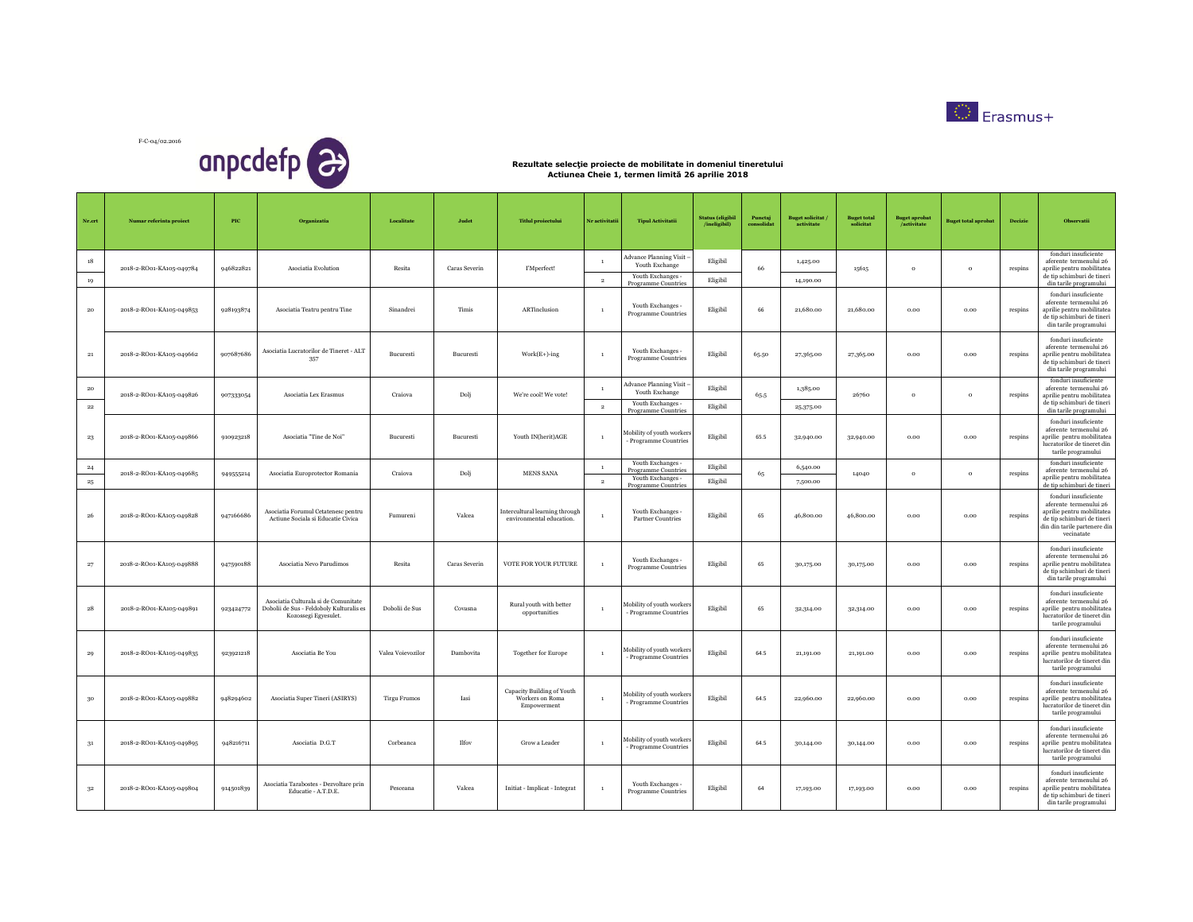



| Nr.crt          | Numar referinta proiect  | PIC       | Organizatia                                                                                              | Localitate          | Judet         | <b>Titlul</b> proiectului                                    | Nr activitatii                 | <b>Tipul Activitatii</b>                                                                    | <b>Status</b> (eligibil<br>/ineligibil) | Punctaj<br>consolidat | <b>Buget solicitat</b><br>activitate | <b>Buget total</b><br>solicitat | <b>Buget aprobat</b><br>/activitate | <b>Buget total aprobat</b> | Decizie | Observatii                                                                                                                                               |
|-----------------|--------------------------|-----------|----------------------------------------------------------------------------------------------------------|---------------------|---------------|--------------------------------------------------------------|--------------------------------|---------------------------------------------------------------------------------------------|-----------------------------------------|-----------------------|--------------------------------------|---------------------------------|-------------------------------------|----------------------------|---------|----------------------------------------------------------------------------------------------------------------------------------------------------------|
| 18<br>19        | 2018-2-RO01-KA105-049784 | 946822821 | Asociatia Evolution                                                                                      | Resita              | Caras Severin | I'Mperfect!                                                  | $\mathbf{1}$<br>$\overline{2}$ | <b>Advance Planning Visit</b><br>Youth Exchange<br>Youth Exchanges -<br>Programme Countries | Eligibil<br>Eligibil                    | 66                    | 1,425,00<br>14,190.00                | 15615                           | $\,$ 0 $\,$                         | $\circ$                    | respins | fonduri insuficiente<br>aferente termenului 26<br>aprilie pentru mobilitatea<br>de tip schimburi de tineri<br>din tarile programului                     |
| 20              | 2018-2-RO01-KA105-049853 | 928193874 | Asociatia Teatru pentru Tine                                                                             | Sinandrei           | Timis         | ARTinclusion                                                 |                                | Youth Exchanges -<br><b>Programme Countries</b>                                             | Eligibil                                | 66                    | 21,680.00                            | 21,680.00                       | 0.00                                | 0.00                       | respins | fonduri insuficiente<br>aferente termenului 26<br>aprilie pentru mobilitatea<br>de tip schimburi de tineri<br>din tarile programului                     |
| 21              | 2018-2-RO01-KA105-049662 | 907687686 | Asociatia Lucratorilor de Tineret - ALT<br>357                                                           | Bucuresti           | Bucuresti     | $Work(E+)$ -ing                                              | $\,$ 1                         | Youth Exchanges -<br>Programme Countries                                                    | Eligibil                                | 65.50                 | 27,365.00                            | 27,365.00                       | 0.00                                | 0.00                       | respins | fonduri insuficiente<br>aferente termenului 26<br>aprilie pentru mobilitatea<br>de tip schimburi de tineri<br>din tarile programului                     |
| 20<br>$\bf{22}$ | 2018-2-RO01-KA105-049826 | 907333054 | Asociatia Lex Erasmus                                                                                    | Craiova             | Dolj          | We're cool! We vote!                                         | $\overline{2}$                 | dvance Planning Visit<br>Youth Exchange<br>Youth Exchanges -<br>Programme Countries         | Eligibil<br>Eligibil                    | 65.5                  | 1,385.00<br>25,375.00                | 26760                           | $\Omega$                            | $\circ$                    | respins | fonduri insuficiente<br>aferente termenului 26<br>aprilie pentru mobilitatea<br>de tip schimburi de tineri<br>din tarile programului                     |
| 23              | 2018-2-RO01-KA105-049866 | 910923218 | Asociatia "Tine de Noi"                                                                                  | Bucuresti           | Bucuresti     | Youth IN(herit)AGE                                           | $\,$ 1                         | Mobility of youth workers<br>Programme Countries                                            | Eligibil                                | 65.5                  | 32,940.00                            | 32,940.00                       | 0.00                                | 0.00                       | respins | fonduri insuficiente<br>aferente termenului 26<br>aprilie pentru mobilitatea<br>lucratorilor de tineret din<br>tarile programului                        |
| 24<br>$\bf 25$  | 2018-2-RO01-KA105-049685 | 949555214 | Asociatia Europrotector Romania                                                                          | Craiova             | Dolj          | MENS SANA                                                    | $\,$ 1<br>$\overline{2}$       | Youth Exchanges -<br>Programme Countries<br>Youth Exchanges -<br><b>Programme Countries</b> | Eligibil<br>Eligibil                    | 65                    | 6,540.00<br>7,500.00                 | 14040                           | $\,$ 0 $\,$                         | $\mathbf{o}$               | respins | fonduri insuficiente<br>aferente termenului 26<br>aprilie pentru mobilitatea<br>de tip schimburi de tineri                                               |
| 26              | 2018-2-RO01-KA105-049828 | 947166686 | Asociatia Forumul Cetatenesc pentru<br>Actiune Sociala si Educatie Civica                                | Fumureni            | Valcea        | Intercultural learning through<br>environmental education.   |                                | Youth Exchanges -<br><b>Partner Countries</b>                                               | Eligibil                                | 65                    | 46,800.00                            | 46,800.00                       | $_{0.00}$                           | $_{0.00}$                  | respins | fonduri insuficiente<br>aferente termenului 26<br>aprilie pentru mobilitatea<br>de tip schimburi de tineri<br>din din tarile partenere din<br>vecinatate |
| 27              | 2018-2-RO01-KA105-049888 | 947590188 | Asociatia Nevo Parudimos                                                                                 | Resita              | Caras Severin | VOTE FOR YOUR FUTURE                                         | $\,$ 1                         | Youth Exchanges -<br>Programme Countries                                                    | Eligibil                                | 65                    | 30,175.00                            | 30,175.00                       | 0.00                                | 0.00                       | respins | fonduri insuficiente<br>aferente termenului 26<br>aprilie pentru mobilitatea<br>de tip schimburi de tineri<br>din tarile programului                     |
| $^{\rm 28}$     | 2018-2-RO01-KA105-049891 | 923424772 | Asociatia Culturala si de Comunitate<br>Dobolii de Sus - Feldoboly Kulturalis es<br>Kozossegi Egyesulet. | Dobolii de Sus      | Covasna       | Rural youth with better<br>opportunities                     |                                | Mobility of youth workers<br>Programme Countries                                            | Eligibil                                | 65                    | 32,314.00                            | 32,314.00                       | 0.00                                | 0.00                       | respins | fonduri insuficiente<br>aferente termenului 26<br>aprilie pentru mobilitatea<br>lucratorilor de tineret din<br>tarile programului                        |
| 29              | 2018-2-RO01-KA105-049835 | 923921218 | Asociatia Be You                                                                                         | Valea Voievozilor   | Dambovita     | <b>Together for Europe</b>                                   | $\mathbf{1}$                   | Mobility of youth workers<br>Programme Countries                                            | Eligibil                                | 64.5                  | 21,191.00                            | 21,191.00                       | 0.00                                | 0.00                       | respins | fonduri insuficiente<br>aferente termenului 26<br>aprilie pentru mobilitatea<br>lucratorilor de tineret din<br>tarile programului                        |
| $30\,$          | 2018-2-RO01-KA105-049882 | 948294602 | Asociatia Super Tineri (ASIRYS)                                                                          | <b>Tirgu Frumos</b> | Iasi          | Capacity Building of Youth<br>Workers on Roma<br>Empowerment |                                | Mobility of youth workers<br>Programme Countries                                            | Eligibil                                | 64.5                  | 22,960.00                            | 22,960.00                       | 0.00                                | 0.00                       | respins | fonduri insuficiente<br>aferente termenului 26<br>aprilie pentru mobilitatea<br>lucratorilor de tineret din<br>tarile programului                        |
| 31              | 2018-2-RO01-KA105-049895 | 948216711 | Asociatia D.G.T                                                                                          | Corbeanca           | Ilfov         | Grow a Leader                                                | $\mathbf{1}$                   | Mobility of youth workers<br>- Programme Countries                                          | Eligibil                                | 64.5                  | 30,144.00                            | 30,144.00                       | 0.00                                | $_{0.00}$                  | respins | fonduri insuficiente<br>aferente termenului 26<br>aprilie pentru mobilitatea<br>lucratorilor de tineret din<br>tarile programului                        |
| $3^{\rm 2}$     | 2018-2-RO01-KA105-049804 | 914501839 | Asociatia Tarabostes - Dezvoltare prin<br>Educatie - A.T.D.E.                                            | Pesceana            | Valcea        | Initiat - Implicat - Integrat                                |                                | Youth Exchanges -<br><b>Programme Countries</b>                                             | Eligibil                                | 64                    | 17,193.00                            | 17,193.00                       | 0.00                                | 0.00                       | respins | fonduri insuficiente<br>aferente termenului 26<br>aprilie pentru mobilitatea<br>de tip schimburi de tineri<br>din tarile programului                     |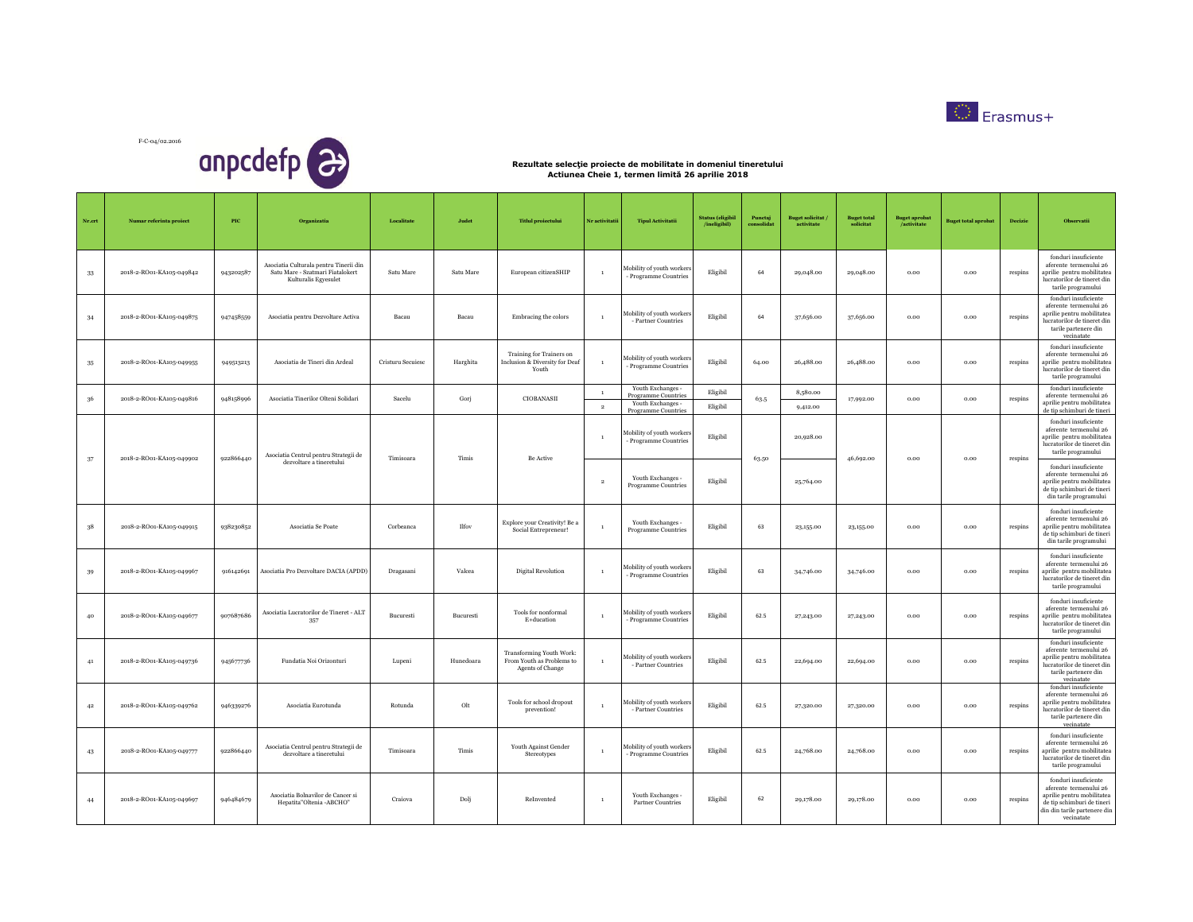



| Nr.crt | Numar referinta proiect  | PIC       | Organizatia                                                                                        | Localitate        | Judet     | <b>Titlul</b> proiectului                                                        | Nr activitatii           | <b>Tipul Activitatii</b>                                                             | <b>Status</b> (eligibil<br>/ineligibil) | Punctaj<br>consolidat | <b>Buget solicitat</b><br>activitate | <b>Buget total</b><br>solicitat | <b>Buget aprobat</b><br>/activitate | <b>Buget total aprobat</b> | <b>Decizie</b> | Observatii                                                                                                                                               |
|--------|--------------------------|-----------|----------------------------------------------------------------------------------------------------|-------------------|-----------|----------------------------------------------------------------------------------|--------------------------|--------------------------------------------------------------------------------------|-----------------------------------------|-----------------------|--------------------------------------|---------------------------------|-------------------------------------|----------------------------|----------------|----------------------------------------------------------------------------------------------------------------------------------------------------------|
| 33     | 2018-2-RO01-KA105-049842 | 943202587 | Asociatia Culturala pentru Tinerii din<br>Satu Mare - Szatmari Fiatalokert<br>Kulturalis Egyesulet | Satu Mare         | Satu Mare | European citizenSHIP                                                             | $\mathbf{1}$             | Mobility of youth workers<br>- Programme Countries                                   | Eligibil                                | 64                    | 29,048.00                            | 29,048.00                       | 0.00                                | 0.00                       | respins        | fonduri insuficiente<br>aferente termenului 26<br>aprilie pentru mobilitatea<br>lucratorilor de tineret din<br>tarile programului                        |
| 34     | 2018-2-RO01-KA105-049875 | 947458559 | Asociatia pentru Dezvoltare Activa                                                                 | Bacau             | Bacau     | Embracing the colors                                                             | $\mathbf{1}$             | Mobility of youth workers<br>- Partner Countries                                     | Eligibil                                | 64                    | 37,656.00                            | 37,656.00                       | 0.00                                | 0.00                       | respins        | fonduri insuficiente<br>aferente termenului 26<br>aprilie pentru mobilitatea<br>lucratorilor de tineret din<br>tarile partenere din<br>vecinatate        |
| $35\,$ | 2018-2-RO01-KA105-049955 | 949513213 | Asociatia de Tineri din Ardeal                                                                     | Cristuru Secuiesc | Harghita  | Training for Trainers on<br>Inclusion & Diversity for Deaf<br>Youth              | $\overline{1}$           | Mobility of youth workers<br>- Programme Countries                                   | Eligibil                                | 64.00                 | 26,488.00                            | 26,488.00                       | $_{0.00}$                           | $_{0.00}$                  | respins        | fonduri insuficiente<br>aferente termenului 26<br>aprilie pentru mobilitatea<br>lucratorilor de tineret din<br>tarile programului                        |
| 36     | 2018-2-RO01-KA105-049816 | 948158996 | Asociatia Tinerilor Olteni Solidari                                                                | Sacelu            | Gorj      | CIOBANASII                                                                       | $\,$ 1<br>$\overline{2}$ | Youth Exchanges -<br>Programme Countries<br>Youth Exchanges -<br>Programme Countries | Eligibil<br>Eligibil                    | 63.5                  | 8,580.00<br>9,412.00                 | 17,992.00                       | 0.00                                | 0.00                       | respins        | fonduri insuficiente<br>aferente termenului 26<br>aprilie pentru mobilitatea<br>de tip schimburi de tineri                                               |
| 37     | 2018-2-RO01-KA105-049902 | 922866440 | Asociatia Centrul pentru Strategii de                                                              | Timisoara         | Timis     | Be Active                                                                        |                          | Mobility of youth workers<br>- Programme Countries                                   | Eligibil                                | 63.50                 | 20,928.00                            | 46,692.00                       | 0.00                                | $_{0.00}$                  | respins        | fonduri insuficiente<br>aferente termenului 26<br>aprilie pentru mobilitatea<br>lucratorilor de tineret din<br>tarile programului                        |
|        |                          |           | dezvoltare a tineretului                                                                           |                   |           |                                                                                  | $\overline{2}$           | Youth Exchanges -<br><b>Programme Countries</b>                                      | Eligibil                                |                       | 25,764.00                            |                                 |                                     |                            |                | fonduri insuficiente<br>aferente termenului 26<br>aprilie pentru mobilitatea<br>de tip schimburi de tineri<br>din tarile programului                     |
| 38     | 2018-2-RO01-KA105-049915 | 938230852 | Asociatia Se Poate                                                                                 | Corbeanca         | Ilfov     | Explore your Creativity! Be a<br>Social Entrepreneur!                            |                          | Youth Exchanges -<br><b>Programme Countries</b>                                      | Eligibil                                | 63                    | 23,155.00                            | 23,155.00                       | $_{0.00}$                           | 0.00                       | respins        | fonduri insuficiente<br>aferente termenului 26<br>aprilie pentru mobilitatea<br>de tip schimburi de tineri<br>din tarile programului                     |
| 39     | 2018-2-RO01-KA105-049967 | 916142691 | Asociatia Pro Dezvoltare DACIA (APDD)                                                              | Dragasani         | Valcea    | Digital Revolution                                                               | $\overline{1}$           | Mobility of youth workers<br>- Programme Countries                                   | Eligibil                                | 63                    | 34,746.00                            | 34,746.00                       | 0.00                                | 0.00                       | respins        | fonduri insuficiente<br>aferente termenului 26<br>aprilie pentru mobilitatea<br>lucratorilor de tineret din<br>tarile programului                        |
| 40     | 2018-2-RO01-KA105-049677 | 907687686 | Asociatia Lucratorilor de Tineret - ALT<br>357                                                     | Bucuresti         | Bucuresti | Tools for nonformal<br>E+ducation                                                |                          | Mobility of youth workers<br>- Programme Countries                                   | Eligibil                                | 62.5                  | 27,243.00                            | 27,243.00                       | 0.00                                | 0.00                       | respins        | fonduri insuficiente<br>aferente termenului 26<br>aprilie pentru mobilitatea<br>lucratorilor de tineret din<br>tarile programului                        |
| 41     | 2018-2-RO01-KA105-049736 | 945677736 | Fundatia Noi Orizonturi                                                                            | Lupeni            | Hunedoara | Transforming Youth Work:<br>From Youth as Problems to<br><b>Agents of Change</b> |                          | Mobility of youth workers<br>- Partner Countries                                     | Eligibil                                | 62.5                  | 22,694.00                            | 22,694.00                       | 0.00                                | 0.00                       | respins        | fonduri insuficiente<br>aferente termenului 26<br>aprilie pentru mobilitatea<br>lucratorilor de tineret din<br>tarile partenere din<br>vecinatate        |
| 42     | 2018-2-RO01-KA105-049762 | 946339276 | Asociatia Eurotunda                                                                                | Rotunda           | Olt       | Tools for school dropout<br>prevention!                                          | $\mathbf{1}$             | Mobility of youth workers<br>- Partner Countries                                     | Eligibil                                | 62.5                  | 27,320.00                            | 27,320.00                       | 0.00                                | 0.00                       | respins        | fonduri insuficiente<br>aferente termenului 26<br>aprilie pentru mobilitatea<br>lucratorilor de tineret din<br>tarile partenere din<br>vecinatate        |
| 43     | 2018-2-RO01-KA105-049777 | 922866440 | Asociatia Centrul pentru Strategii de<br>dezvoltare a tineretului                                  | Timisoara         | Timis     | Youth Against Gender<br>Stereotypes                                              | $\mathbf{1}$             | Mobility of youth workers<br>- Programme Countries                                   | Eligibil                                | 62.5                  | 24,768.00                            | 24,768.00                       | 0.00                                | 0.00                       | respins        | fonduri insuficiente<br>aferente termenului 26<br>aprilie pentru mobilitatea<br>lucratorilor de tineret din<br>tarile programului                        |
| 44     | 2018-2-RO01-KA105-049697 | 946484679 | Asociatia Bolnavilor de Cancer si<br>Hepatita"Oltenia -ABCHO"                                      | Craiova           | Dolj      | ReInvented                                                                       | $\overline{1}$           | Youth Exchanges -<br><b>Partner Countries</b>                                        | Eligibil                                | 62                    | 29,178.00                            | 29,178.00                       | 0.00                                | 0.00                       | respins        | fonduri insuficiente<br>aferente termenului 26<br>aprilie pentru mobilitatea<br>de tip schimburi de tineri<br>din din tarile partenere din<br>vecinatate |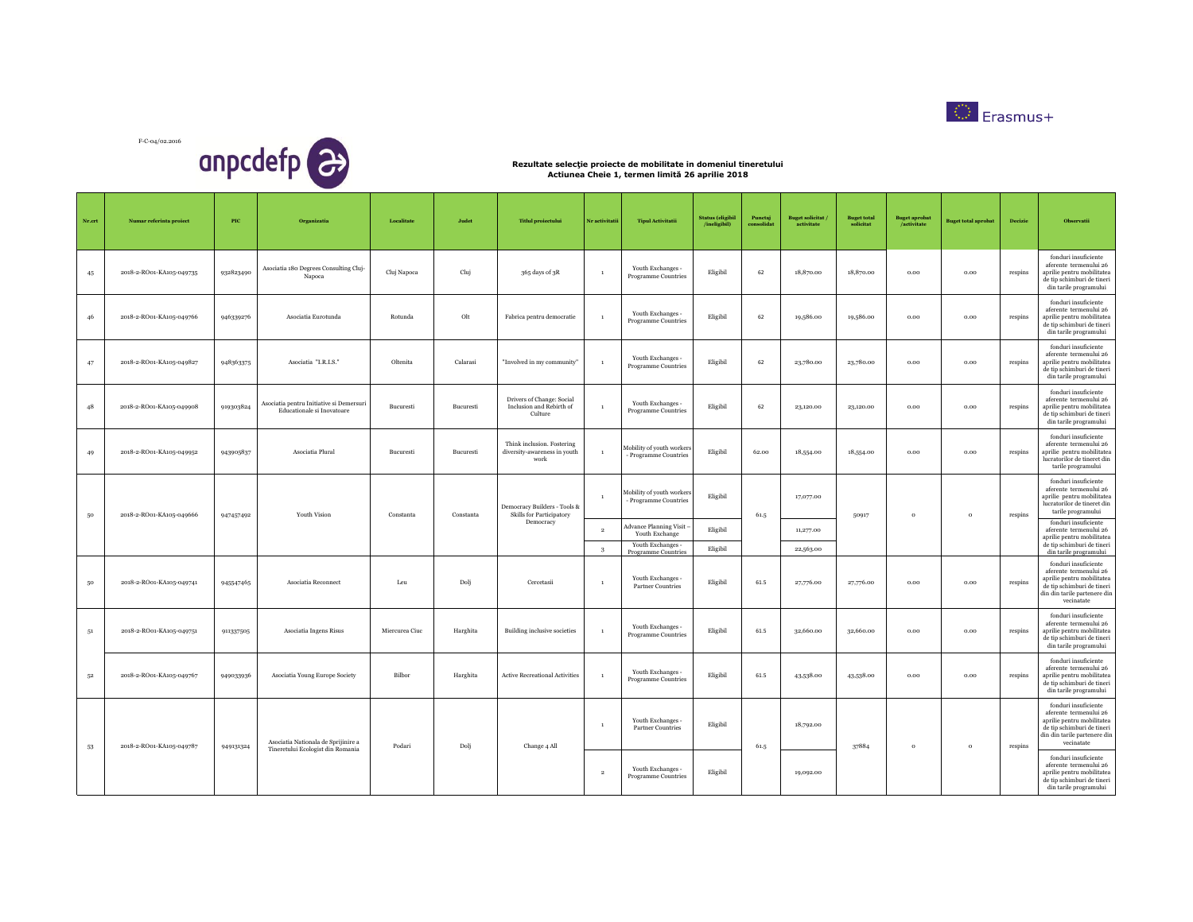



| Nr.crt | Numar referinta proiect  | PIC       | Organizatia                                                              | Localitate     | Judet     | <b>Titlul</b> proiectului                                          | Nr activitatii    | <b>Tipul Activitatii</b>                                                               | <b>Status</b> (eligibil<br>/ineligibil) | Punctai<br>consolidat | <b>Buget solicitat</b><br>activitate | Buget total<br>solicitat | Buget aprobat<br>/activitate | <b>Buget total aprobat</b> | Decizie | Observatii                                                                                                                                               |
|--------|--------------------------|-----------|--------------------------------------------------------------------------|----------------|-----------|--------------------------------------------------------------------|-------------------|----------------------------------------------------------------------------------------|-----------------------------------------|-----------------------|--------------------------------------|--------------------------|------------------------------|----------------------------|---------|----------------------------------------------------------------------------------------------------------------------------------------------------------|
| 45     | 2018-2-RO01-KA105-049735 | 932823490 | Asociatia 180 Degrees Consulting Cluj-<br>Napoca                         | Cluj Napoca    | Cluj      | 365 days of 3R                                                     | $\overline{1}$    | Youth Exchanges -<br><b>Programme Countries</b>                                        | Eligibil                                | 62                    | 18,870.00                            | 18,870.00                | 0.00                         | 0.00                       | respins | fonduri insuficiente<br>aferente termenului 26<br>aprilie pentru mobilitatea<br>de tip schimburi de tineri<br>din tarile programului                     |
| 46     | 2018-2-RO01-KA105-049766 | 946339276 | Asociatia Eurotunda                                                      | Rotunda        | Olt       | Fabrica pentru democratie                                          | $\mathbf{1}$      | Youth Exchanges -<br>Programme Countries                                               | Eligibil                                | 62                    | 19,586.00                            | 19,586.00                | 0.00                         | 0.00                       | respins | fonduri insuficiente<br>aferente termenului 26<br>aprilie pentru mobilitatea<br>de tip schimburi de tineri<br>din tarile programului                     |
| 47     | 2018-2-RO01-KA105-049827 | 948363375 | Asociatia "I.R.I.S."                                                     | Oltenita       | Calarasi  | "Involved in my community"                                         |                   | Youth Exchanges -<br>Programme Countries                                               | Eligibil                                | 62                    | 23,780.00                            | 23,780.00                | 0.00                         | 0.00                       | respins | fonduri insuficiente<br>aferente termenului 26<br>aprilie pentru mobilitatea<br>de tip schimburi de tineri<br>din tarile programului                     |
| 48     | 2018-2-RO01-KA105-049908 | 919303824 | Asociatia pentru Initiative si Demersuri<br>Educationale si Inovatoare   | Bucuresti      | Bucuresti | Drivers of Change: Social<br>Inclusion and Rebirth of<br>Culture   |                   | Youth Exchanges -<br>Programme Countries                                               | Eligibil                                | 62                    | 23,120.00                            | 23,120.00                | 0.00                         | 0.00                       | respins | fonduri insuficiente<br>aferente termenului 26<br>aprilie pentru mobilitatea<br>de tip schimburi de tineri<br>din tarile programului                     |
| 49     | 2018-2-RO01-KA105-049952 | 943905837 | Asociatia Plural                                                         | Bucuresti      | Bucuresti | Think inclusion. Fostering<br>diversity-awareness in youth<br>work | $\mathbf{1}$      | Mobility of youth workers<br>- Programme Countries                                     | Eligibil                                | 62.00                 | 18,554.00                            | 18,554.00                | 0.00                         | 0.00                       | respins | fonduri insuficiente<br>aferente termenului 26<br>aprilie pentru mobilitatea<br>lucratorilor de tineret din<br>tarile programului                        |
| 50     | 2018-2-RO01-KA105-049666 | 947457492 | Youth Vision                                                             | Constanta      | Constanta | Democracy Builders - Tools &<br>Skills for Participatory           | $\overline{1}$    | Mobility of youth workers<br>- Programme Countries                                     | Eligibil                                | 61.5                  | 17,077.00                            | 50917                    | $\circ$                      | $\mathbf{o}$               | respins | fonduri insuficiente<br>aferente termenului 26<br>aprilie pentru mobilitatea<br>lucratorilor de tineret din<br>tarile programului                        |
|        |                          |           |                                                                          |                |           | Democracy                                                          | $\,2\,$<br>$_{3}$ | Advance Planning Visit -<br>Youth Exchange<br>Youth Exchanges -<br>Programme Countries | Eligibil<br>Eligibil                    |                       | 11,277.00<br>22,563.00               |                          |                              |                            |         | fonduri insuficiente<br>aferente termenului 26<br>aprilie pentru mobilitatea<br>de tip schimburi de tineri<br>din tarile programului                     |
| 50     | 2018-2-RO01-KA105-049741 | 945547465 | Asociatia Reconnect                                                      | Leu            | Dolj      | Cercetasii                                                         | $\overline{1}$    | Youth Exchanges -<br><b>Partner Countries</b>                                          | Eligibil                                | 61.5                  | 27,776.00                            | 27,776.00                | 0.00                         | 0.00                       | respins | fonduri insuficiente<br>aferente termenului 26<br>aprilie pentru mobilitatea<br>de tip schimburi de tineri<br>din din tarile partenere din<br>vecinatate |
| 51     | 2018-2-RO01-KA105-049751 | 911337505 | Asociatia Ingens Risus                                                   | Miercurea Ciuc | Harghita  | Building inclusive societies                                       |                   | Youth Exchanges -<br>Programme Countries                                               | Eligibil                                | 61.5                  | 32,660.00                            | 32,660.00                | 0.00                         | 0.00                       | respins | fonduri insuficiente<br>aferente termenului 26<br>aprilie pentru mobilitatea<br>de tip schimburi de tineri<br>din tarile programului                     |
| $52\,$ | 2018-2-RO01-KA105-049767 | 949033936 | Asociatia Young Europe Society                                           | Bilbor         | Harghita  | <b>Active Recreational Activities</b>                              |                   | Youth Exchanges -<br><b>Programme Countries</b>                                        | Eligibil                                | 61.5                  | 43,538.00                            | 43,538.00                | 0.00                         | 0.00                       | respins | fonduri insuficiente<br>aferente termenului 26<br>aprilie pentru mobilitatea<br>de tip schimburi de tineri<br>din tarile programului                     |
| 53     | 2018-2-RO01-KA105-049787 | 949131324 | Asociatia Nationala de Sprijinire a<br>Tineretului Ecologist din Romania | Podari         | Dolj      | Change 4 All                                                       | $\overline{1}$    | Youth Exchanges -<br><b>Partner Countries</b>                                          | Eligibil                                | 61.5                  | 18,792.00                            | 37884                    | $\circ$                      | $\circ$                    | respins | fonduri insuficiente<br>aferente termenului 26<br>aprilie pentru mobilitatea<br>de tip schimburi de tineri<br>din din tarile partenere din<br>vecinatate |
|        |                          |           |                                                                          |                |           |                                                                    | $\overline{2}$    | Youth Exchanges -<br><b>Programme Countries</b>                                        | Eligibil                                |                       | 19,092.00                            |                          |                              |                            |         | fonduri insuficiente<br>aferente termenului 26<br>aprilie pentru mobilitatea<br>de tip schimburi de tineri<br>din tarile programului                     |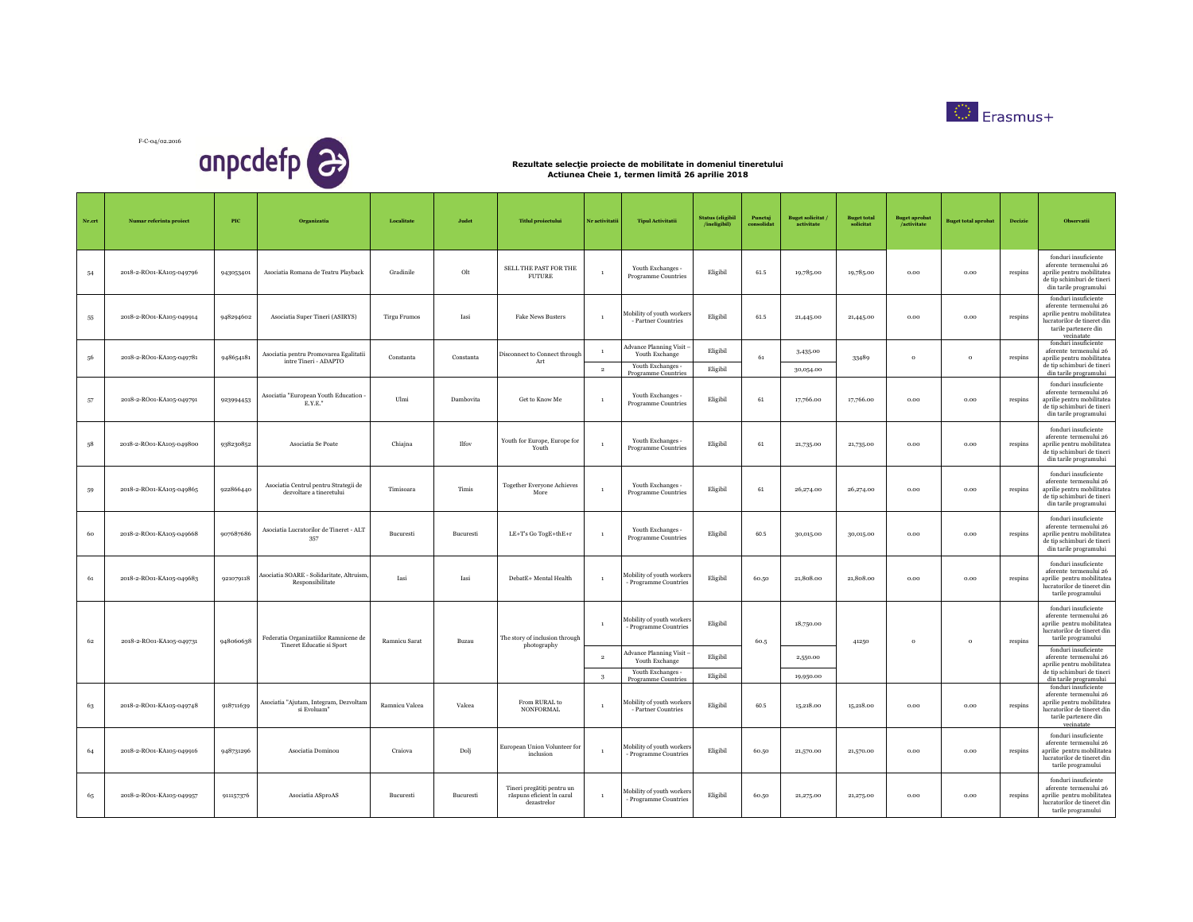



| Nr.crt | Numar referinta proiect  | $_{\rm{PIC}}$ | Organizatia                                                       | Localitate          | Judet     | <b>Titlul</b> proiectului                                              | Nr activitatii                 | <b>Tipul Activitatii</b>                                                                    | <b>Status (eligibil</b><br>/ineligibil) | Puncta<br>consolidat | <b>Buget solicitat</b><br>activitate | <b>Buget total</b><br>solicitat | <b>Buget aprobat</b><br>/activitate | <b>Buget total aprobat</b> | Decizie | Observatii                                                                                                                                                                  |
|--------|--------------------------|---------------|-------------------------------------------------------------------|---------------------|-----------|------------------------------------------------------------------------|--------------------------------|---------------------------------------------------------------------------------------------|-----------------------------------------|----------------------|--------------------------------------|---------------------------------|-------------------------------------|----------------------------|---------|-----------------------------------------------------------------------------------------------------------------------------------------------------------------------------|
| 54     | 2018-2-RO01-KA105-049796 | 943053401     | Asociatia Romana de Teatru Playback                               | Gradinile           | Olt       | SELL THE PAST FOR THE<br>FUTURE                                        | $\overline{1}$                 | Youth Exchanges -<br>Programme Countries                                                    | Eligibil                                | 61.5                 | 19,785.00                            | 19,785.00                       | 0.00                                | 0.00                       | respins | fonduri insuficiente<br>aferente termenului 26<br>aprilie pentru mobilitatea<br>de tip schimburi de tineri<br>din tarile programului                                        |
| 55     | 2018-2-RO01-KA105-049914 | 948294602     | Asociatia Super Tineri (ASIRYS)                                   | <b>Tirgu Frumos</b> | Iasi      | <b>Fake News Busters</b>                                               | $\overline{1}$                 | Mobility of youth workers<br>- Partner Countries                                            | Eligibil                                | 61.5                 | 21,445.00                            | 21,445.00                       | 0.00                                | 0.00                       | respins | fonduri insuficiente<br>aferente termenului 26<br>aprilie pentru mobilitatea<br>lucratorilor de tineret din<br>tarile partenere din<br>vecinatate                           |
| 56     | 2018-2-RO01-KA105-049781 | 948654181     | Asociatia pentru Promovarea Egalitatii<br>intre Tineri - ADAPTO   | Constanta           | Constanta | Disconnect to Connect through<br>Art                                   | $\mathbf{1}$<br>$\overline{2}$ | <b>Advance Planning Visit</b><br>Youth Exchange<br>Youth Exchanges -<br>Programme Countries | Eligibil<br>Eligibil                    | 61                   | 3,435.00<br>30,054.00                | 33489                           | $\circ$                             | $\circ$                    | respins | fonduri insuficiente<br>aferente termenului 26<br>aprilie pentru mobilitatea<br>de tip schimburi de tineri<br>din tarile programului                                        |
| 57     | 2018-2-RO01-KA105-049791 | 923994453     | Asociatia "European Youth Education -<br>E.Y.E."                  | Ulmi                | Dambovita | Get to Know Me                                                         | $\overline{1}$                 | Youth Exchanges -<br>Programme Countries                                                    | Eligibil                                | 61                   | 17,766.00                            | 17,766.00                       | 0.00                                | $_{0.00}$                  | respins | fonduri insuficiente<br>aferente termenului 26<br>aprilie pentru mobilitatea<br>de tip schimburi de tineri<br>din tarile programului                                        |
| 58     | 2018-2-RO01-KA105-049800 | 938230852     | Asociatia Se Poate                                                | Chiajna             | Ilfov     | Youth for Europe, Europe for<br>Youth                                  | $\overline{1}$                 | Youth Exchanges -<br>Programme Countries                                                    | Eligibil                                | 61                   | 21,735.00                            | 21,735.00                       | 0.00                                | 0.00                       | respins | fonduri insuficiente<br>aferente termenului 26<br>aprilie pentru mobilitatea<br>de tip schimburi de tineri<br>din tarile programului                                        |
| 59     | 2018-2-RO01-KA105-049865 | 922866440     | Asociatia Centrul pentru Strategii de<br>dezvoltare a tineretului | Timisoara           | Timis     | <b>Together Everyone Achieves</b><br>More                              | $\overline{1}$                 | Youth Exchanges -<br>Programme Countries                                                    | Eligibil                                | 61                   | 26,274.00                            | 26,274.00                       | 0.00                                | 0.00                       | respins | fonduri insuficiente<br>aferente termenului 26<br>aprilie pentru mobilitatea<br>de tip schimburi de tineri<br>din tarile programului                                        |
| 60     | 2018-2-RO01-KA105-049668 | 907687686     | Asociatia Lucratorilor de Tineret - ALT<br>357                    | Bucuresti           | Bucuresti | LE+T's Go TogE+thE+r                                                   | $\,$ 1                         | Youth Exchanges -<br>Programme Countries                                                    | Eligibil                                | 60.5                 | 30,015.00                            | 30,015.00                       | $_{0.00}$                           | $_{0.00}$                  | respins | fonduri insuficiente<br>aferente termenului 26<br>aprilie pentru mobilitatea<br>de tip schimburi de tineri<br>din tarile programului                                        |
| 61     | 2018-2-RO01-KA105-049683 | 921079118     | Asociatia SOARE - Solidaritate, Altruism<br>Responsibilitate      | Iasi                | Iasi      | DebatE+ Mental Health                                                  | $\overline{1}$                 | Mobility of youth workers<br>Programme Countries                                            | Eligibil                                | 60.50                | 21.808.00                            | 21,808.00                       | 0.00                                | 0.00                       | respins | fonduri insuficiente<br>aferente termenului 26<br>aprilie pentru mobilitatea<br>lucratorilor de tineret din<br>tarile programului                                           |
| 62     | 2018-2-RO01-KA105-049731 | 948060638     | Federatia Organizatiilor Ramnicene de                             | Ramnicu Sarat       | Buzau     | The story of inclusion through                                         | $\overline{1}$                 | Mobility of youth workers<br>- Programme Countries                                          | Eligibil                                | 60.5                 | 18,750.00                            | 41250                           | $\circ$                             | $\circ$                    | respins | fonduri insuficiente<br>aferente termenului 26<br>aprilie pentru mobilitatea<br>lucratorilor de tineret din<br>tarile programului                                           |
|        |                          |               | Tineret Educatie si Sport                                         |                     |           | photography                                                            | $\overline{2}$                 | <b>Advance Planning Visit</b><br>Youth Exchange<br>Youth Exchanges -                        | Eligibil<br>Eligibil                    |                      | 2,550.00                             |                                 |                                     |                            |         | fonduri insuficiente<br>aferente termenului 26<br>aprilie pentru mobilitatea<br>de tip schimburi de tineri                                                                  |
| 63     | 2018-2-RO01-KA105-049748 | 918711639     | Asociatia "Ajutam, Integram, Dezvoltam<br>si Evoluam'             | Ramnicu Valcea      | Valcea    | From RURAL to<br><b>NONFORMAL</b>                                      | $\sqrt{3}$<br>$\mathbf{1}$     | Programme Countries<br>Mobility of youth workers<br>- Partner Countries                     | Eligibil                                | 60.5                 | 19,950.00<br>15,218.00               | 15,218.00                       | 0.00                                | 0.00                       | respins | din tarile programului<br>fonduri insuficiente<br>aferente termenului 26<br>aprilie pentru mobilitatea<br>lucratorilor de tineret din<br>tarile partenere din<br>vecinatate |
| 64     | 2018-2-RO01-KA105-049916 | 948731296     | Asociatia Dominou                                                 | Craiova             | Dolj      | European Union Volunteer for<br>inclusion                              | $\overline{1}$                 | Mobility of youth workers<br>- Programme Countries                                          | Eligibil                                | 60.50                | 21,570.00                            | 21,570.00                       | $_{0.00}$                           | $_{0.00}$                  | respins | fonduri insuficiente<br>aferente termenului 26<br>aprilie pentru mobilitatea<br>lucratorilor de tineret din<br>tarile programului                                           |
| 65     | 2018-2-RO01-KA105-049957 | 911157376     | Asociatia ASproAS                                                 | Bucuresti           | Bucuresti | Tineri pregătiți pentru un<br>răspuns eficient în cazul<br>dezastrelor | $\,$ 1                         | Mobility of youth workers<br>- Programme Countries                                          | Eligibil                                | 60.50                | 21,275.00                            | 21,275.00                       | 0.00                                | 0.00                       | respins | fonduri insuficiente<br>aferente termenului 26<br>aprilie pentru mobilitatea<br>lucratorilor de tineret din<br>tarile programului                                           |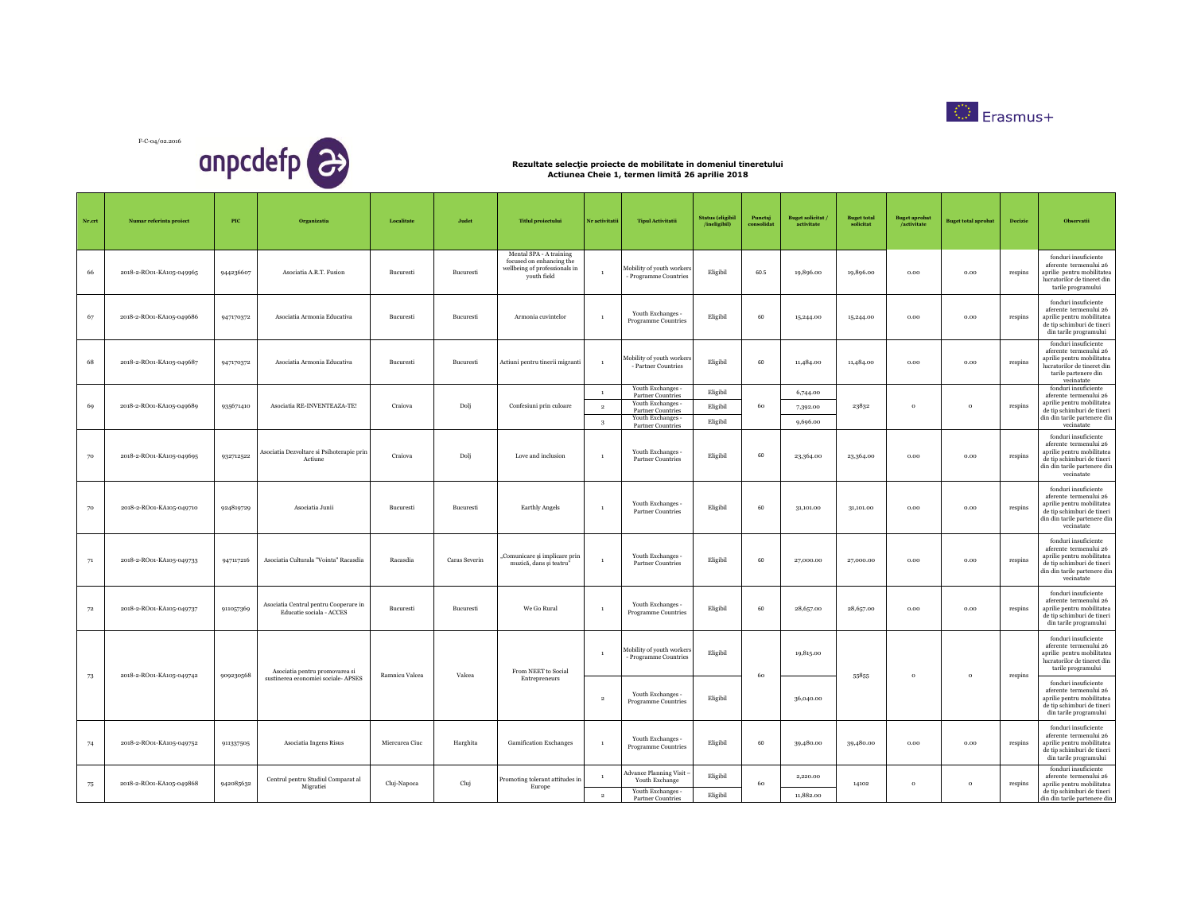



| Nr.crt | Numar referinta proiect  | PIC       | Organizatia                                                       | Localitate     | Judet         | <b>Titlul</b> proiectului                                                                           | Nr activitatii | <b>Tipul Activitatii</b>                           | <b>Status</b> (eligibil<br>/ineligibil) | Punctai<br>consolidat | <b>Buget solicitat</b><br>activitate | <b>Buget total</b><br>solicitat | <b>Buget aprobat</b><br>/activitate | <b>Buget total aprobat</b> | Decizie | Observatii                                                                                                                                               |
|--------|--------------------------|-----------|-------------------------------------------------------------------|----------------|---------------|-----------------------------------------------------------------------------------------------------|----------------|----------------------------------------------------|-----------------------------------------|-----------------------|--------------------------------------|---------------------------------|-------------------------------------|----------------------------|---------|----------------------------------------------------------------------------------------------------------------------------------------------------------|
| 66     | 2018-2-RO01-KA105-049965 | 944236607 | Asociatia A.R.T. Fusion                                           | Bucuresti      | Bucuresti     | Mental SPA - A training<br>focused on enhancing the<br>wellbeing of professionals in<br>youth field | $\overline{1}$ | Mobility of youth workers<br>- Programme Countries | Eligibil                                | 60.5                  | 19,896.00                            | 19,896.00                       | 0.00                                | 0.00                       | respins | fonduri insuficiente<br>aferente termenului 26<br>aprilie pentru mobilitatea<br>lucratorilor de tineret din<br>tarile programului                        |
| 67     | 2018-2-RO01-KA105-049686 | 947170372 | Asociatia Armonia Educativa                                       | Bucuresti      | Bucuresti     | Armonia cuvintelor                                                                                  | $\overline{1}$ | Youth Exchanges -<br><b>Programme Countries</b>    | Eligibil                                | 60                    | 15,244.00                            | 15,244.00                       | 0.00                                | 0.00                       | respins | fonduri insuficiente<br>aferente termenului 26<br>aprilie pentru mobilitatea<br>de tip schimburi de tineri<br>din tarile programului                     |
| 68     | 2018-2-RO01-KA105-049687 | 947170372 | Asociatia Armonia Educativa                                       | Bucuresti      | Bucuresti     | Actiuni pentru tinerii migranti                                                                     | $\overline{1}$ | Mobility of youth workers<br>- Partner Countries   | Eligibil                                | 60                    | 11,484.00                            | 11,484.00                       | 0.00                                | 0.00                       | respins | fonduri insuficiente<br>aferente termenului 26<br>aprilie pentru mobilitatea<br>lucratorilor de tineret din<br>tarile partenere din<br>vecinatate        |
|        |                          |           |                                                                   |                |               |                                                                                                     | $\mathbf{1}$   | Youth Exchanges -<br>Partner Countries             | Eligibil                                |                       | 6,744.00                             |                                 |                                     |                            |         | fonduri insuficiente<br>aferente termenului 26                                                                                                           |
| 69     | 2018-2-RO01-KA105-049689 | 935671410 | Asociatia RE-INVENTEAZA-TE!                                       | Craiova        | Dolj          | Confesiuni prin culoare                                                                             | $\overline{2}$ | Youth Exchanges -<br><b>Partner Countries</b>      | Eligibil                                | 60                    | 7,392.00                             | 23832                           | $\circ$                             | $\circ$                    | respins | aprilie pentru mobilitatea<br>de tip schimburi de tineri                                                                                                 |
|        |                          |           |                                                                   |                |               |                                                                                                     | $\mathbf{3}$   | Youth Exchanges -<br>Partner Countries             | Eligibil                                |                       | 9,696.00                             |                                 |                                     |                            |         | din din tarile partenere din<br>vecinatate                                                                                                               |
| 70     | 2018-2-RO01-KA105-049695 | 932712522 | Asociatia Dezvoltare si Psihoterapie prin<br>Actiune              | Craiova        | Dolj          | Love and inclusion                                                                                  | $\mathbf{1}$   | Youth Exchanges -<br><b>Partner Countries</b>      | Eligibil                                | 60                    | 23,364.00                            | 23,364.00                       | 0.00                                | 0.00                       | respins | fonduri insuficiente<br>aferente termenului 26<br>aprilie pentru mobilitatea<br>de tip schimburi de tineri<br>din din tarile partenere din<br>vecinatate |
| 70     | 2018-2-RO01-KA105-049710 | 924819729 | Asociatia Junii                                                   | Bucuresti      | Bucuresti     | Earthly Angels                                                                                      | $\overline{1}$ | Youth Exchanges -<br><b>Partner Countries</b>      | Eligibil                                | 60                    | 31,101.00                            | 31,101.00                       | 0.00                                | 0.00                       | respins | fonduri insuficiente<br>aferente termenului 26<br>aprilie pentru mobilitatea<br>de tip schimburi de tineri<br>din din tarile partenere din<br>vecinatate |
| 71     | 2018-2-RO01-KA105-049733 | 947117216 | Asociatia Culturala "Vointa" Racasdia                             | Racasdia       | Caras Severin | Comunicare și implicare prin<br>muzică, dans și teatru"                                             | $\,$ 1 $\,$    | Youth Exchanges -<br>Partner Countries             | Eligibil                                | 60                    | 27,000.00                            | 27,000.00                       | 0.00                                | 0.00                       | respins | fonduri insuficiente<br>aferente termenului 26<br>aprilie pentru mobilitatea<br>de tip schimburi de tineri<br>din din tarile partenere din<br>vecinatate |
| 72     | 2018-2-RO01-KA105-049737 | 911057369 | Asociatia Centrul pentru Cooperare in<br>Educatie sociala - ACCES | Bucuresti      | Bucuresti     | We Go Rural                                                                                         | $\overline{1}$ | Youth Exchanges -<br>Programme Countries           | Eligibil                                | 60                    | 28,657.00                            | 28,657.00                       | $_{0.00}$                           | 0.00                       | respins | fonduri insuficiente<br>aferente termenului 26<br>aprilie pentru mobilitatea<br>de tip schimburi de tineri<br>din tarile programului                     |
|        | 2018-2-RO01-KA105-049742 | 909230568 | Asociatia pentru promovarea si                                    | Ramnicu Valcea | Valcea        | From NEET to Social                                                                                 | $\overline{1}$ | Mobility of youth workers<br>- Programme Countries | Eligibil                                | 60                    | 19,815.00                            | 55855                           | $\circ$                             | $\mathbf{o}$               | respins | fonduri insuficiente<br>aferente termenului 26<br>aprilie pentru mobilitatea<br>lucratorilor de tineret din<br>tarile programului                        |
| 73     |                          |           | sustinerea economiei sociale- APSES                               |                |               | Entrepreneurs                                                                                       | $\overline{2}$ | Youth Exchanges -<br>Programme Countries           | Eligibil                                |                       | 36,040.00                            |                                 |                                     |                            |         | fonduri insuficiente<br>aferente termenului 26<br>aprilie pentru mobilitatea<br>de tip schimburi de tineri<br>din tarile programului                     |
| 74     | 2018-2-RO01-KA105-049752 | 911337505 | Asociatia Ingens Risus                                            | Miercurea Ciuc | Harghita      | <b>Gamification Exchanges</b>                                                                       | $\mathbf{1}$   | Youth Exchanges -<br>Programme Countries           | Eligibil                                | 60                    | 39,480.00                            | 39,480.00                       | 0.00                                | 0.00                       | respins | fonduri insuficiente<br>aferente termenului 26<br>aprilie pentru mobilitatea<br>de tip schimburi de tineri<br>din tarile programului                     |
|        |                          |           | Centrul pentru Studiul Comparat al                                |                |               | Promoting tolerant attitudes in                                                                     |                | <b>Advance Planning Visit</b><br>Youth Exchange    | Eligibil                                |                       | 2,220.00                             |                                 |                                     |                            |         | fonduri insuficiente<br>aferente termenului 26                                                                                                           |
| 75     | 2018-2-RO01-KA105-049868 | 942085632 | Migratiei                                                         | Cluj-Napoca    | Cluj          | Europe                                                                                              | $\overline{2}$ | Youth Exchanges -<br>Partner Countries             | Eligibil                                | 60                    | 11,882.00                            | 14102                           | $\circ$                             | $\circ$                    | respins | aprilie pentru mobilitatea<br>de tip schimburi de tineri<br>din din tarile partenere din                                                                 |
|        |                          |           |                                                                   |                |               |                                                                                                     |                |                                                    |                                         |                       |                                      |                                 |                                     |                            |         |                                                                                                                                                          |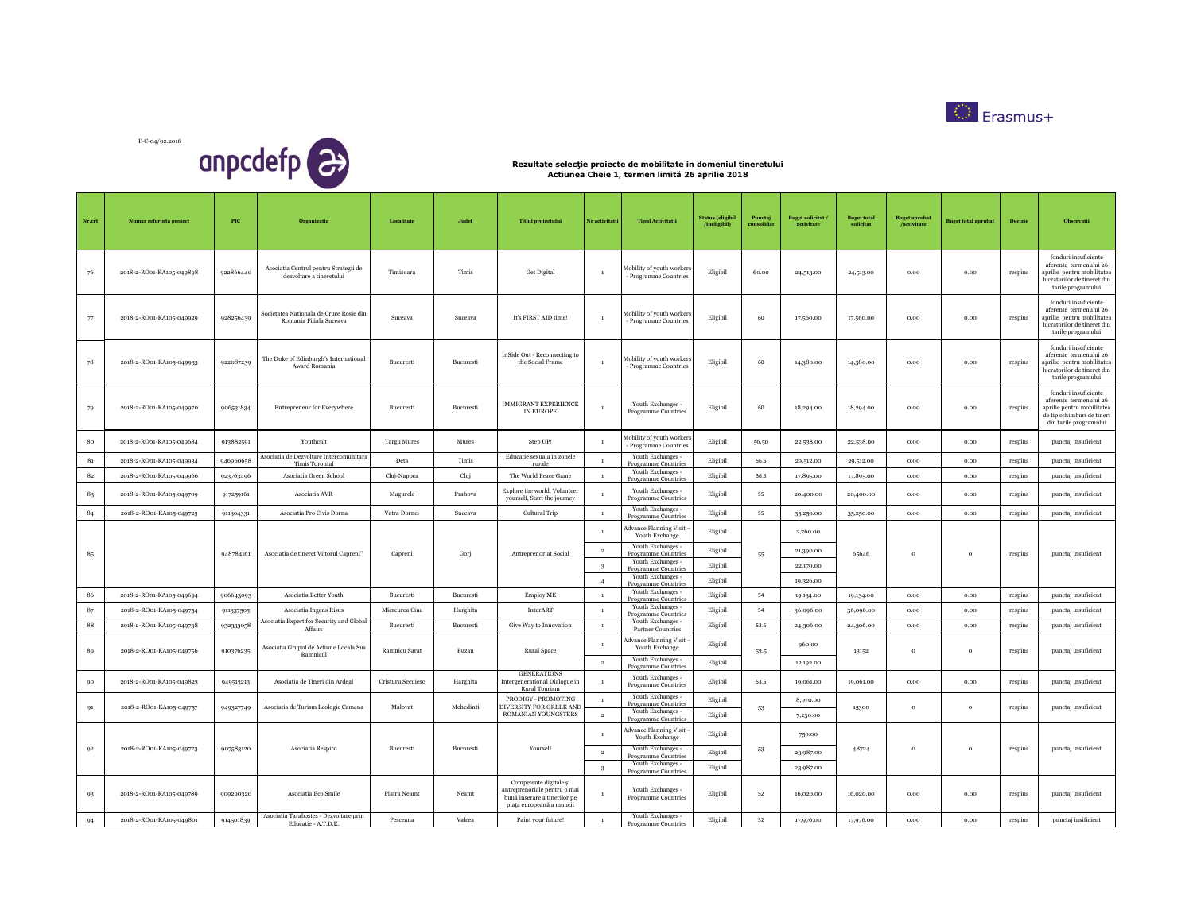



| $Nr.crt$    | Numar referinta proiect  | $_{\rm{PIC}}$ | Organizatia                                                                       | Localitate         | Judet            | <b>Titlul</b> proiectului                                                                                          | Nr activitatii         | <b>Tipul Activitatii</b>                                        | <b>Status</b> (eligibil<br>/ineligibil) | Puncta<br>consolida | <b>Buget solicitat</b><br>activitate | <b>Buget total</b><br>solicitat | <b>Buget aprobat</b><br>/activitate | <b>Buget total aprobat</b> | Decizie | Observatii                                                                                                                           |
|-------------|--------------------------|---------------|-----------------------------------------------------------------------------------|--------------------|------------------|--------------------------------------------------------------------------------------------------------------------|------------------------|-----------------------------------------------------------------|-----------------------------------------|---------------------|--------------------------------------|---------------------------------|-------------------------------------|----------------------------|---------|--------------------------------------------------------------------------------------------------------------------------------------|
| 76          | 2018-2-RO01-KA105-049898 | 922866440     | Asociatia Centrul pentru Strategii de<br>${\rm dezvoltare}$ a ${\rm timeretului}$ | Timisoara          | Timis            | <b>Get Digital</b>                                                                                                 | $\overline{1}$         | Mobility of youth workers<br>- Programme Countries              | Eligibil                                | 60.00               | 24,513.00                            | 24,513.00                       | 0.00                                | 0.00                       | respins | fonduri insuficiente<br>aferente termenului 26<br>aprilie pentru mobilitatea<br>lucratorilor de tineret din<br>tarile programului    |
| 77          | 2018-2-RO01-KA105-049929 | 928256439     | Societatea Nationala de Cruce Rosie din<br>Romania Filiala Suceava                | Suceava            | Suceava          | It's FIRST AID time!                                                                                               | $\overline{1}$         | Mobility of youth workers<br>- Programme Countries              | Eligibil                                | 60                  | 17,560.00                            | 17,560.00                       | 0.00                                | 0.00                       | respins | fonduri insuficiente<br>aferente termenului 26<br>aprilie pentru mobilitatea<br>lucratorilor de tineret din<br>tarile programului    |
| 78          | 2018-2-RO01-KA105-049935 | 922087239     | The Duke of Edinburgh's International<br>Award Romania                            | Bucuresti          | Bucuresti        | InSide Out - Reconnecting to<br>the Social Frame                                                                   | $\mathbf{1}$           | Mobility of youth workers<br>- Programme Countries              | Eligibil                                | 60                  | 14,380.00                            | 14,380.00                       | 0.00                                | 0.00                       | respins | fonduri insuficiente<br>aferente termenului 26<br>aprilie pentru mobilitatea<br>lucratorilor de tineret din<br>tarile programului    |
| 79          | 2018-2-RO01-KA105-049970 | 906531834     | Entrepreneur for Everywhere                                                       | Bucuresti          | Bucuresti        | <b>IMMIGRANT EXPERIENCE</b><br>IN EUROPE                                                                           |                        | Youth Exchanges -<br>Programme Countries                        | Eligibil                                | 60                  | 18,294.00                            | 18,294.00                       | $_{0.00}$                           | $_{0.00}$                  | respins | fonduri insuficiente<br>aferente termenului 26<br>aprilie pentru mobilitatea<br>de tip schimburi de tineri<br>din tarile programului |
| 80          | 2018-2-RO01-KA105-049684 | 913882591     | Youthcult                                                                         | <b>Targu Mures</b> | Mures            | Step UP!                                                                                                           |                        | Mobility of youth workers<br>- Programme Countries              | Eligibil                                | 56.50               | 22,538.00                            | 22,538.00                       | $_{0.00}$                           | 0.00                       | respins | punctaj insuficient                                                                                                                  |
| $\bf 81$    | 2018-2-RO01-KA105-049934 | 946960658     | Asociatia de Dezvoltare Intercomunitara<br>Timis Torontal                         | Deta               | Timis            | Educatie sexuala in zonele<br>rurale                                                                               | $\mathbf{1}$           | Youth Exchanges -<br>Programme Countries                        | Eligibil                                | 56.5                | 29,512.00                            | 29,512.00                       | 0.00                                | $_{0.00}$                  | respins | punctaj insuficient                                                                                                                  |
| $\bf 82$    | 2018-2-RO01-KA105-049966 | 923763496     | Asociatia Green School                                                            | Cluj-Napoca        | Cluj             | The World Peace Game                                                                                               | $\mathbf{1}$           | Youth Exchanges -<br>Programme Countries                        | Eligibil                                | 56.5                | 17,895.00                            | 17,895.00                       | 0.00                                | 0.00                       | respins | punctaj insuficient                                                                                                                  |
| $\bf 83$    | 2018-2-RO01-KA105-049709 | 917259161     | Asociatia AVR                                                                     | Magurele           | Prahova          | Explore the world, Volunteer<br>yourself, Start the journey                                                        |                        | Youth Exchanges -<br>Programme Countries                        | Eligibil                                | 55                  | 20,400.00                            | 20,400,00                       | 0.00                                | 0.00                       | respins | punctaj insuficient                                                                                                                  |
| 84          | 2018-2-RO01-KA105-049725 | 911304331     | Asociatia Pro Civis Dorna                                                         | Vatra Dornei       | Suceava          | Cultural Trip                                                                                                      | $\overline{1}$         | Youth Exchanges -<br>Programme Countries                        | Eligibil                                | 55                  | 35,250.00                            | 35,250.00                       | 0.00                                | 0.00                       | respins | punctaj insuficient                                                                                                                  |
|             |                          |               |                                                                                   |                    |                  |                                                                                                                    | $\overline{1}$         | dvance Planning Visit<br>Youth Exchange                         | Eligibil                                |                     | 2,760.00                             |                                 |                                     |                            |         |                                                                                                                                      |
| 85          |                          | 948784161     | Asociatia de tineret Viitorul Capreni"                                            | Capreni            | Gorj             | Antreprenoriat Social                                                                                              | $\overline{2}$         | Youth Exchanges -<br>Programme Countries                        | Eligibil                                | 55                  | 21,390.00                            | 65646                           | $\circ$                             | $\circ$                    | respins | punctaj insuficient                                                                                                                  |
|             |                          |               |                                                                                   |                    |                  |                                                                                                                    | 3                      | Youth Exchanges -<br>Programme Countries                        | Eligibil                                |                     | 22,170,00                            |                                 |                                     |                            |         |                                                                                                                                      |
|             |                          |               |                                                                                   |                    |                  |                                                                                                                    | $\overline{4}$         | Youth Exchanges -<br>Programme Countries                        | Eligibil                                |                     | 19,326.00                            |                                 |                                     |                            |         |                                                                                                                                      |
| 86          | 2018-2-RO01-KA105-049694 | 906643093     | Asociatia Better Youth                                                            | Bucuresti          | Bucuresti        | Employ ME                                                                                                          | $\overline{1}$         | Youth Exchanges -<br>Programme Countries                        | Eligibil                                | 54                  | 19,134.00                            | 19,134.00                       | 0.00                                | 0.00                       | respins | punctaj insuficient                                                                                                                  |
| 87          | 2018-2-RO01-KA105-049754 | 911337505     | Asociatia Ingens Risus                                                            | Miercurea Ciuc     | Harghita         | InterART                                                                                                           | $\overline{1}$         | Youth Exchanges -<br>Programme Countries                        | Eligibil                                | 54                  | 36,096.00                            | 36,096.00                       | 0.00                                | 0.00                       | respins | punctaj insuficient                                                                                                                  |
| $^{\rm 88}$ | 2018-2-RO01-KA105-049738 | 932333058     | Asociatia Expert for Security and Global<br>Affairs                               | <b>Bucuresti</b>   | <b>Bucuresti</b> | Give Way to Innovation                                                                                             | $\overline{1}$         | Youth Exchanges -<br>Partner Countries                          | Eligibil                                | 53.5                | 24,306.00                            | 24,306.00                       | 0.00                                | 0.00                       | respins | punctaj insuficient                                                                                                                  |
| 89          | 2018-2-RO01-KA105-049756 | 910376235     | Asociatia Grupul de Actiune Locala Sus<br>Ramnicul                                | Ramnicu Sarat      | <b>Buzan</b>     | Rural Space                                                                                                        | $\mathbf{1}$           | dvance Planning Visit<br>Youth Exchange                         | Eligibil                                | 53-5                | 960.00                               | 13152                           | $\circ$                             | $\circ$                    | respins | punctaj insuficient                                                                                                                  |
|             |                          |               |                                                                                   |                    |                  |                                                                                                                    | $\overline{2}$         | Youth Exchanges -<br>Programme Countries                        | Eligibil                                |                     | 12,192.00                            |                                 |                                     |                            |         |                                                                                                                                      |
| 90          | 2018-2-RO01-KA105-049823 | 949513213     | Asociatia de Tineri din Ardeal                                                    | Cristuru Secuiesc  | Harghita         | <b>GENERATIONS</b><br>Intergenerational Dialogue in<br>Rural Tourism                                               |                        | Youth Exchanges -<br><b>Programme Countries</b>                 | Eligibil                                | 53.5                | 19,061.00                            | 19,061.00                       | 0.00                                | 0.00                       | respins | punctaj insuficient                                                                                                                  |
| 91          | 2018-2-RO01-KA105-049757 | 949327749     | Asociatia de Turism Ecologic Camena                                               | Malovat            | Mehedinti        | PRODIGY - PROMOTING<br>DIVERSITY FOR GREEK AND<br>ROMANIAN YOUNGSTERS                                              | $\,$ 1 $\,$<br>$\,2\,$ | Youth Exchanges -<br>Programme Countries<br>Youth Exchanges -   | Eligibil<br>Eligibil                    | 53                  | 8,070.00<br>7,230.00                 | 15300                           | $\mathbf{o}$                        | $\mathbf{o}$               | respins | punctaj insuficient                                                                                                                  |
|             |                          |               |                                                                                   |                    |                  |                                                                                                                    | $\overline{1}$         | Programme Countries<br>Advance Planning Visit<br>Youth Exchange | Eligibil                                |                     | 750.00                               |                                 |                                     |                            |         |                                                                                                                                      |
| 92          | 2018-2-RO01-KA105-049773 | 907583120     | Asociatia Respiro                                                                 | Bucuresti          | Bucuresti        | Yourself                                                                                                           | $\,2\,$                | Youth Exchanges -                                               | Eligibil                                | 53                  | 23,987.00                            | 48724                           | $\mathbf{o}$                        | $\mathbf{o}$               | respins | punctaj insuficient                                                                                                                  |
|             |                          |               |                                                                                   |                    |                  |                                                                                                                    | 3                      | Programme Countries<br>Youth Exchanges -<br>Programme Countries | Eligibil                                |                     | 23,987.00                            |                                 |                                     |                            |         |                                                                                                                                      |
| 93          | 2018-2-RO01-KA105-049789 | 909290320     | Asociatia Eco Smile                                                               | Piatra Neamt       | Neamt            | Competente digitale și<br>antreprenoriale pentru o mai<br>bună inserare a tinerilor pe<br>piața europeană a muncii | $\mathbf{1}$           | Youth Exchanges -<br><b>Programme Countries</b>                 | Eligibil                                | 52                  | 16.020.00                            | 16,020,00                       | 0.00                                | 0.00                       | respins | punctaj insuficient                                                                                                                  |
| 94          | 2018-2-RO01-KA105-049801 | 914501839     | Asociatia Tarabostes - Dezvoltare prin<br>Educatie - A.T.D.E.                     | Pesceana           | Valcea           | Paint your future!                                                                                                 | $\mathbf{1}$           | Youth Exchanges -<br><b>Programme Countries</b>                 | Eligibil                                | 52                  | 17,976.00                            | 17,976.00                       | 0.00                                | 0.00                       | respins | punctaj insificient                                                                                                                  |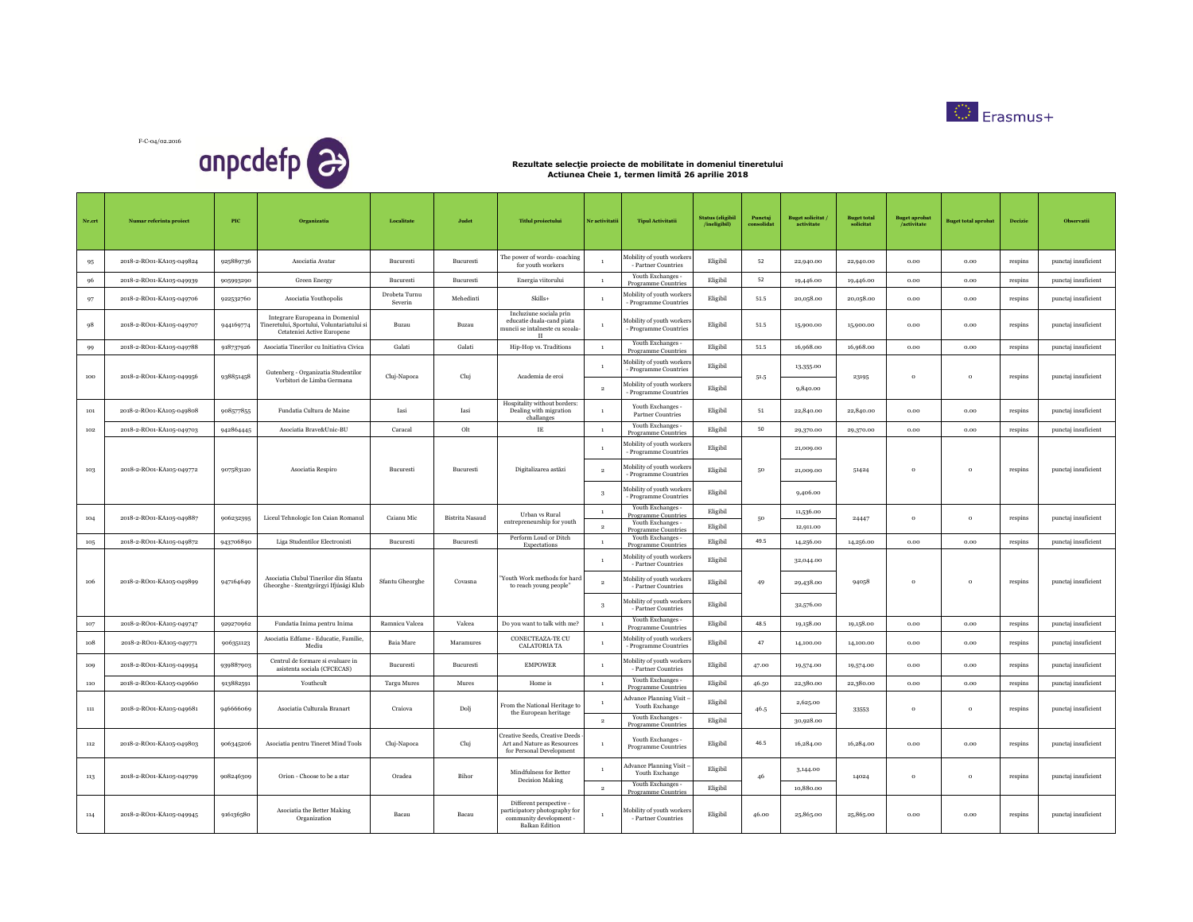

F-C-04/02.2016 anpcdefp<sup>2</sup>

| Nr.crt | Numar referinta project  | <b>PIC</b> | Organizatia                                                                                                | Localitate               | Judet                  | <b>Titlul</b> projectului                                                                                    | Nr activitatii                 | <b>Tipul Activitatii</b>                                                       | <b>Status</b> (eligibil<br>/ineligibil) | Puncta<br>consolida | <b>Buget solicitat</b><br>activitate | <b>Buget total</b><br>solicitat | <b>Buget aprobat</b><br>/activitate | <b>Buget total aprobat</b> | <b>Decizie</b> | <b>Observatii</b>   |
|--------|--------------------------|------------|------------------------------------------------------------------------------------------------------------|--------------------------|------------------------|--------------------------------------------------------------------------------------------------------------|--------------------------------|--------------------------------------------------------------------------------|-----------------------------------------|---------------------|--------------------------------------|---------------------------------|-------------------------------------|----------------------------|----------------|---------------------|
| 95     | 2018-2-RO01-KA105-049824 | 925889736  | Asociatia Avatar                                                                                           | Bucuresti                | Bucuresti              | The power of words-coaching<br>for youth workers                                                             | -1                             | Mobility of youth workers<br>- Partner Countries                               | ${\bf E}$ ligibil                       | 52                  | 22,940.00                            | 22,940.00                       | 0.00                                | 0.00                       | respins        | punctaj insuficient |
| 96     | 2018-2-RO01-KA105-049939 | 905993290  | <b>Green Energy</b>                                                                                        | Bucuresti                | Bucuresti              | Energia viitorului                                                                                           | $\mathbf{1}$                   | Youth Exchanges -<br>Programme Countries                                       | Eligibil                                | 52                  | 19,446.00                            | 19,446.00                       | 0.00                                | 0.00                       | respins        | punctaj insuficient |
| 97     | 2018-2-RO01-KA105-049706 | 922532760  | Asociatia Youthopolis                                                                                      | Drobeta Turnu<br>Severin | Mehedinti              | Skills+                                                                                                      | $\mathbf{1}$                   | Mobility of youth workers<br>- Programme Countries                             | Eligibil                                | 51.5                | 20,058.00                            | 20,058.00                       | 0.00                                | 0.00                       | respins        | punctaj insuficient |
| 98     | 2018-2-RO01-KA105-049707 | 944169774  | Integrare Europeana in Domeniul<br>Tineretului, Sportului, Voluntariatului s<br>Cetateniei Active Europene | Buzau                    | Buzau                  | Incluziune sociala prin<br>educatie duala-cand piata<br>nuncii se intalneste cu scoala-<br>$\Pi$             | $\mathbf{1}$                   | Mobility of youth workers<br>- Programme Countries                             | Eligibil                                | 51.5                | 15,900.00                            | 15,900.00                       | $_{0.00}$                           | $_{0.00}$                  | respins        | punctaj insuficient |
| 99     | 2018-2-RO01-KA105-049788 | 918737926  | Asociatia Tinerilor cu Initiativa Civica                                                                   | Galati                   | Galati                 | Hip-Hop vs. Traditions                                                                                       | $\,$ 1 $\,$                    | Youth Exchanges -<br>Programme Countries                                       | Eligibil                                | 51.5                | 16,968.00                            | 16,968.00                       | 0.00                                | 0.00                       | respins        | punctaj insuficient |
| 100    | 2018-2-RO01-KA105-049956 | 938851458  | Gutenberg - Organizatia Studentilor                                                                        | Cluj-Napoca              | Cluj                   | Academia de eroi                                                                                             | $\mathbf{1}$                   | Mobility of youth workers<br>- Programme Countries                             | Eligibil                                | 51.5                | 13,355.00                            | 23195                           | $\circ$                             | $\circ$                    |                | punctaj insuficient |
|        |                          |            | Vorbitori de Limba Germana                                                                                 |                          |                        |                                                                                                              | $\,2\,$                        | Mobility of youth workers<br>- Programme Countries                             | Eligibil                                |                     | 9,840.00                             |                                 |                                     |                            | respins        |                     |
| 101    | 2018-2-RO01-KA105-049808 | 908577855  | Fundatia Cultura de Maine                                                                                  | Iasi                     | Iasi                   | Hospitality without borders:<br>Dealing with migration<br>challanges                                         | $\mathbf{1}$                   | Youth Exchanges -<br><b>Partner Countries</b>                                  | Eligibil                                | 51                  | 22,840.00                            | 22,840.00                       | 0.00                                | 0.00                       | respins        | punctaj insuficient |
| 102    | 2018-2-RO01-KA105-049703 | 942864445  | Asociatia Brave&Unic-BU                                                                                    | Caracal                  | Olt                    | $\rm IE$                                                                                                     | $\mathbf{1}$                   | Youth Exchanges -<br>Programme Countrie                                        | Eligibil                                | 50                  | 29,370.00                            | 29,370.00                       | 0.00                                | 0.00                       | respins        | punctaj insuficient |
|        |                          |            |                                                                                                            |                          |                        |                                                                                                              | $\mathbf{1}$                   | Mobility of youth workers<br>- Programme Countries                             | Eligibil                                |                     | 21,009.00                            |                                 |                                     |                            |                |                     |
| 103    | 2018-2-RO01-KA105-049772 | 907583120  | Asociatia Respiro                                                                                          | Bucuresti                | Bucuresti              | Digitalizarea astăzi                                                                                         | $\overline{2}$                 | Mobility of youth workers<br>- Programme Countries                             | Eligibil                                | 50                  | 21,009.00                            | 51424                           | $\circ$                             | $\circ$                    | respins        | punctaj insuficient |
|        |                          |            |                                                                                                            |                          |                        |                                                                                                              | 3                              | Mobility of youth workers<br>- Programme Countries                             | Eligibil                                |                     | 9,406.00                             |                                 |                                     |                            |                |                     |
| 104    | 2018-2-RO01-KA105-049887 | 906232395  | Liceul Tehnologic Ion Caian Romanul                                                                        | Caianu Mic               | <b>Bistrita Nasaud</b> | Urban vs Rural<br>entrepreneurship for youth                                                                 | $\mathbf{1}$<br>$\overline{2}$ | Youth Exchanges -<br>Programme Countries<br>Youth Exchanges -                  | Eligibil<br>Eligibil                    | 50                  | 11,536.00<br>12,911.00               | 24447                           | $\circ$                             | $\circ$                    | respins        | punctaj insuficient |
| 105    | 2018-2-RO01-KA105-049872 | 943706890  | Liga Studentilor Electronisti                                                                              | Bucuresti                | Bucuresti              | Perform Loud or Ditch                                                                                        | $\,$ $\,$                      | Programme Countries<br>Youth Exchanges -                                       | Eligibil                                | 49.5                | 14,256.00                            | 14,256.00                       | $_{0.00}$                           | 0.00                       | respins        | punctaj insuficient |
|        |                          |            |                                                                                                            |                          |                        | Expectations                                                                                                 | $\,1\,$                        | <b>Programme Countries</b><br>Mobility of youth workers<br>- Partner Countries | Eligibil                                |                     | 32,044.00                            |                                 |                                     |                            |                |                     |
| 106    | 2018-2-RO01-KA105-049899 | 947164649  | Asociatia Clubul Tinerilor din Sfantu<br>Gheorghe - Szentgyörgyi Ifjúsági Klub                             | Sfantu Gheorghe          | Covasna                | Youth Work methods for hard<br>to reach young people"                                                        | $\,2\,$                        | Mobility of youth workers<br>- Partner Countries                               | Eligibil                                | 49                  | 29,438.00                            | 94058                           | $\mathbf{o}$                        | $\mathbf{o}$               | respins        | punctaj insuficient |
|        |                          |            |                                                                                                            |                          |                        |                                                                                                              | 3                              | Mobility of youth workers<br>- Partner Countries                               | Eligibil                                |                     | 32,576.00                            |                                 |                                     |                            |                |                     |
| 107    | 2018-2-RO01-KA105-049747 | 929270962  | Fundatia Inima pentru Inima                                                                                | Ramnicu Valcea           | Valcea                 | Do you want to talk with me?                                                                                 | $\overline{1}$                 | Youth Exchanges -                                                              | Eligibil                                | 48.5                | 19,158.00                            | 19,158.00                       | 0.00                                | 0.00                       | respins        | punctaj insuficient |
| 108    | 2018-2-RO01-KA105-049771 | 906351123  | Asociatia Edfame - Educatie, Familie,<br>Mediu                                                             | Baia Mare                | Maramures              | CONECTEAZA-TE CU<br><b>CALATORIA TA</b>                                                                      | $\mathbf{1}$                   | Programme Countries<br>Mobility of youth workers<br>- Programme Countries      | Eligibil                                | 47                  | 14,100,00                            | 14,100.00                       | 0.00                                | 0.00                       | respins        | punctaj insuficient |
| 109    | 2018-2-RO01-KA105-049954 | 939887903  | Centrul de formare si evaluare in<br>asistenta sociala (CFCECAS)                                           | Bucuresti                | Bucuresti              | <b>EMPOWER</b>                                                                                               | $\,1\,$                        | Mobility of youth workers<br>- Partner Countries                               | Eligibil                                | 47.00               | 19,574.00                            | 19,574.00                       | 0.00                                | $_{0.00}$                  | respins        | punctaj insuficient |
| 110    | 2018-2-RO01-KA105-049660 | 913882591  | Youtheult                                                                                                  | <b>Targu Mures</b>       | Mures                  | Home is                                                                                                      | $\mathbf{1}$                   | Youth Exchanges -<br>Programme Countries                                       | Eligibil                                | 46.50               | 22,380.00                            | 22,380.00                       | $_{0.00}$                           | 0.00                       | respins        | punctaj insuficient |
| 111    | 2018-2-RO01-KA105-049681 | 946666069  | Asociatia Culturala Branart                                                                                | Craiova                  | Dolj                   | From the National Heritage to                                                                                | $\mathbf{1}$                   | <b>Advance Planning Visit</b><br>Youth Exchange                                | Eligibil                                | 46.5                | 2,625.00                             | 33553                           | $\circ$                             | $\circ$                    | respins        | punctaj insuficient |
|        |                          |            |                                                                                                            |                          |                        | the European heritage                                                                                        | $\overline{2}$                 | Youth Exchanges -<br>Programme Countries                                       | Eligibil                                |                     | 30,928.00                            |                                 |                                     |                            |                |                     |
| 112    | 2018-2-RO01-KA105-049803 | 906345206  | Asociatia pentru Tineret Mind Tools                                                                        | Cluj-Napoca              | Cluj                   | reative Seeds, Creative Deeds<br>Art and Nature as Resources<br>for Personal Development                     | $\overline{1}$                 | Youth Exchanges -<br>Programme Countries                                       | Eligibil                                | 46.5                | 16,284.00                            | 16,284.00                       | $_{0.00}$                           | $_{0.00}$                  | respins        | punctaj insuficient |
| 113    | 2018-2-RO01-KA105-049799 | 908246309  | Orion - Choose to be a star                                                                                | Oradea                   | Bihor                  | Mindfulness for Better<br><b>Decision Making</b>                                                             | $\,1\,$<br>$\,$ 2 $\,$         | <b>Advance Planning Visit</b><br>Youth Exchange<br>Youth Exchanges -           | Eligibil<br>Eligibil                    | 46                  | 3,144.00<br>10,880.00                | 14024                           | $\mathbf{o}$                        | $\mathbf{o}$               | respins        | punctaj insuficient |
| 114    | 2018-2-RO01-KA105-049945 | 916136580  | Asociatia the Better Making<br>Organization                                                                | Bacau                    | Bacau                  | Different perspective -<br>participatory photography for<br>community development -<br><b>Balkan Edition</b> | $\mathbf{1}$                   | <b>Programme Countries</b><br>Mobility of youth workers<br>- Partner Countries | Eligibil                                | 46.00               | 25,865.00                            | 25,865.00                       | 0.00                                | 0.00                       | respins        | punctaj insuficient |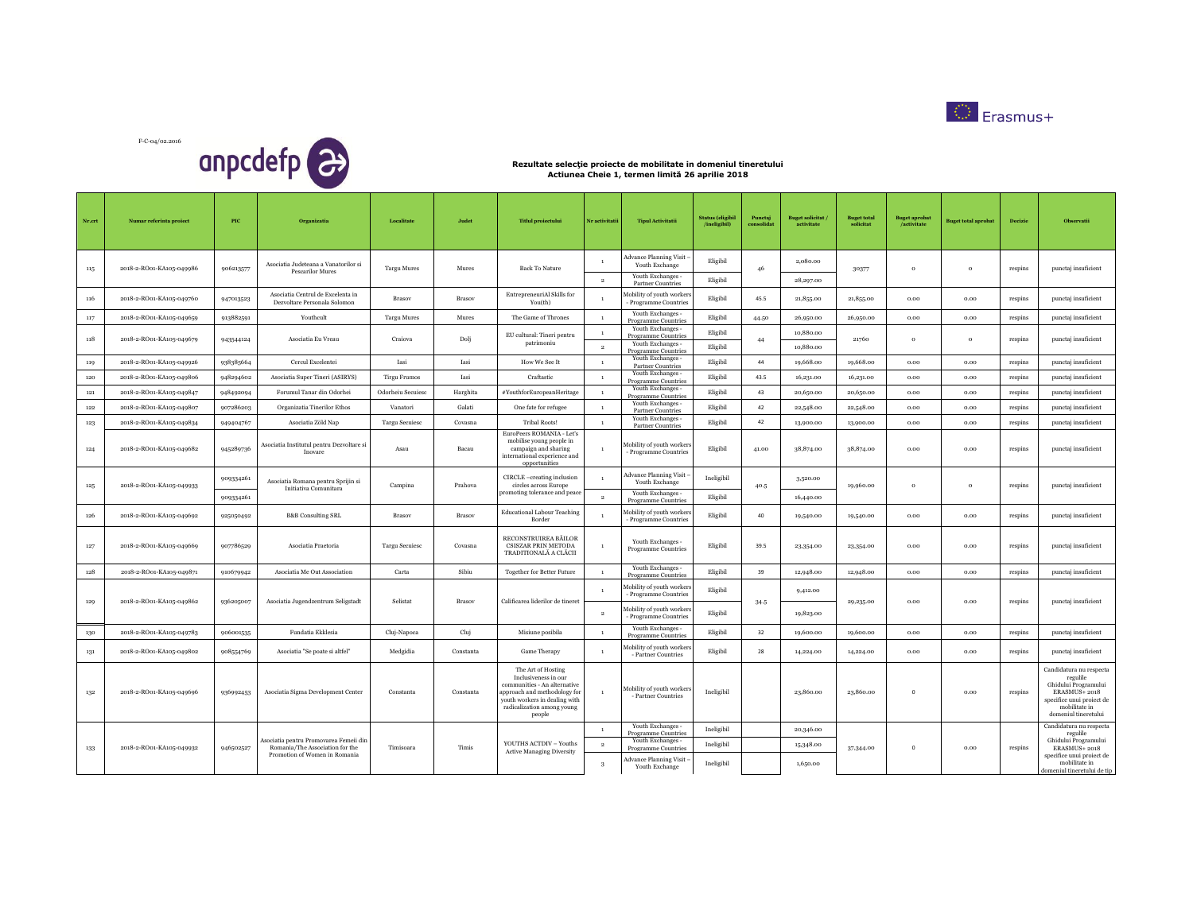

F-C-04/02.2016 anpcdefp<sup>2</sup>

| Nr.crt | Numar referinta proiect  | $_{\rm{PIC}}$ | Organizatia                                                               | Localitate            | Judet     | <b>Titlul</b> proiectului                                                                                                                                                           | Nr activitatii                     | <b>Tipul Activitatii</b>                                                             | <b>Status</b> (eligibil<br>/ineligibil) | Punctaj<br>consolidat | <b>Buget solicitat</b><br>activitate | <b>Buget total</b><br>solicitat  | <b>Buget aprobat</b><br>/activitate | <b>Buget total aprobat</b>                         | Decizie  | Observatii                                                                                                                                        |           |           |      |      |              |
|--------|--------------------------|---------------|---------------------------------------------------------------------------|-----------------------|-----------|-------------------------------------------------------------------------------------------------------------------------------------------------------------------------------------|------------------------------------|--------------------------------------------------------------------------------------|-----------------------------------------|-----------------------|--------------------------------------|----------------------------------|-------------------------------------|----------------------------------------------------|----------|---------------------------------------------------------------------------------------------------------------------------------------------------|-----------|-----------|------|------|--------------|
| 115    | 2018-2-RO01-KA105-049986 | 906213577     | Asociatia Judeteana a Vanatorilor si<br><b>Pescarilor Mures</b>           | <b>Targu Mures</b>    | Mures     | <b>Back To Nature</b>                                                                                                                                                               | $\mathbf{1}$                       | Advance Planning Visit<br>Youth Exchange                                             | Eligibil                                | 46                    | 2,080.00                             | 30377                            | $\mathbf{o}$                        | $\,$ 0 $\,$                                        | respins  | punctaj insuficient                                                                                                                               |           |           |      |      |              |
|        |                          |               |                                                                           |                       |           |                                                                                                                                                                                     | $\overline{2}$                     | Youth Exchanges -<br><b>Partner Countries</b>                                        | Eligibil                                |                       | 28,297.00                            |                                  |                                     |                                                    |          |                                                                                                                                                   |           |           |      |      |              |
| 116    | 2018-2-RO01-KA105-049760 | 947013523     | Asociatia Centrul de Excelenta in<br>Dezvoltare Personala Solomon         | Brasov                | Brasov    | EntrepreneuriAl Skills for<br>You(th)                                                                                                                                               |                                    | Mobility of youth workers<br>Programme Countries                                     | Eligibil                                | 45.5                  | 21,855.00                            | 21,855.00                        | 0.00                                | 0.00                                               | respins  | punctaj insuficient                                                                                                                               |           |           |      |      |              |
| 117    | 2018-2-RO01-KA105-049659 | 913882591     | Youthcult                                                                 | <b>Targu Mures</b>    | Mures     | The Game of Thrones                                                                                                                                                                 | $\overline{1}$                     | Youth Exchanges -<br><b>Programme Countries</b>                                      | Eligibil                                | 44.50                 | 26,950.00                            | 26,950.00                        | 0.00                                | 0.00                                               | respins  | punctaj insuficient                                                                                                                               |           |           |      |      |              |
| 118    | 2018-2-RO01-KA105-049679 | 943544124     | Asociatia Eu Vreau                                                        | Craiova               | Dolj      | EU cultural: Tineri pentru<br>patrimoniu                                                                                                                                            | $\mathbf{1}$<br>$\overline{2}$     | Youth Exchanges -<br>Programme Countries<br>Youth Exchanges -<br>Programme Countries | Eligibil<br>Eligibil                    | 44                    | 10,880.00<br>10,880.00               | 21760                            | $\circ$                             | $\circ$                                            | respins  | punctaj insuficient                                                                                                                               |           |           |      |      |              |
| 119    | 2018-2-RO01-KA105-049926 | 938385664     | Cercul Excelentei                                                         | Iasi                  | Iasi      | How We See It                                                                                                                                                                       | $\mathbf{1}$                       | Youth Exchanges -<br><b>Partner Countries</b>                                        | Eligibil                                | 44                    | 19,668.00                            | 19,668.00                        | 0.00                                | 0.00                                               | respins  | punctaj insuficient                                                                                                                               |           |           |      |      |              |
| 120    | 2018-2-RO01-KA105-049806 | 948294602     | Asociatia Super Tineri (ASIRYS)                                           | <b>Tirgu Frumos</b>   | Iasi      | Craftastic                                                                                                                                                                          | $\mathbf{1}$                       | Youth Exchanges -<br><b>Programme Countries</b>                                      | Eligibil                                | 43.5                  | 16,231.00                            | 16,231.00                        | 0.00                                | 0.00                                               | respins  | punctaj insuficient                                                                                                                               |           |           |      |      |              |
| 121    | 2018-2-RO01-KA105-049847 | 948492094     | Forumul Tanar din Odorhei                                                 | Odorheiu Secuiesc     | Harghita  | #YouthforEuropeanHeritage                                                                                                                                                           | $\mathbf{1}$                       | Youth Exchanges -<br><b>Programme Countries</b>                                      | Eligibil                                | 43                    | 20,650.00                            | 20,650.00                        | 0.00                                | 0.00                                               | respins  | punctaj insuficient                                                                                                                               |           |           |      |      |              |
| 122    | 2018-2-RO01-KA105-049807 | 907286203     | Organizatia Tinerilor Ethos                                               | Vanatori              | Galati    | One fate for refugee                                                                                                                                                                | $\mathbf{1}$                       | Youth Exchanges -<br>Partner Countries                                               | Eligibil                                | 42                    | 22,548.00                            | 22,548.00                        | 0.00                                | 0.00                                               | respins  | punctaj insuficient                                                                                                                               |           |           |      |      |              |
| 123    | 2018-2-RO01-KA105-049834 | 949404767     | Asociatia Zöld Nap                                                        | <b>Targu Secuiesc</b> | Covasna   | Tribal Roots!                                                                                                                                                                       | $\mathbf{1}$                       | Youth Exchanges -<br><b>Partner Countries</b>                                        | Eligibil                                | 42                    | 13,900.00                            | 13,900.00                        | 0.00                                | 0.00                                               | respins  | punctaj insuficient                                                                                                                               |           |           |      |      |              |
| 124    | 2018-2-RO01-KA105-049682 | 945289736     | Asociatia Institutul pentru Dezvoltare si<br>Inovare                      | Asau                  | Bacau     | EuroPeers ROMANIA - Let's<br>mobilise young people in<br>campaign and sharing<br>international experience and<br>opportunities                                                      | $1\,$                              | Mobility of youth workers<br>Programme Countries                                     | Eligibil                                | 41.00                 | 38,874.00                            | 38,874.00                        | 0.00                                | 0.00                                               | respins  | punctaj insuficient                                                                                                                               |           |           |      |      |              |
| 125    | 2018-2-RO01-KA105-049933 | 909334261     | Asociatia Romana pentru Sprijin si<br>Initiativa Comunitara               | Campina               | Prahova   | CIRCLE -creating inclusion<br>circles across Europe<br>promoting tolerance and peace                                                                                                | $\mathbf{1}$                       | <b>Advance Planning Visit</b><br>Youth Exchange<br>Youth Exchanges -                 | Ineligibil                              | 40.5                  | 3,520.00                             | 19,960.00                        | $\circ$                             | $\,$ 0 $\,$                                        | respins  | punctaj insuficient                                                                                                                               |           |           |      |      |              |
|        |                          | 909334261     |                                                                           |                       |           |                                                                                                                                                                                     | $\overline{2}$                     | Programme Countries                                                                  | Eligibil                                |                       | 16,440.00                            |                                  |                                     |                                                    |          |                                                                                                                                                   |           |           |      |      |              |
| 126    | 2018-2-RO01-KA105-049692 | 925050492     | <b>B&amp;B</b> Consulting SRL                                             | <b>Brasov</b>         | Brasov    | <b>Educational Labour Teaching</b><br>Border                                                                                                                                        | $\mathbf{1}$                       | Mobility of youth workers<br>Programme Countries                                     | Eligibil                                | 40                    | 19,540.00                            | 19,540.00                        | 0.00                                | 0.00                                               | respins  | punctaj insuficient                                                                                                                               |           |           |      |      |              |
| 127    | 2018-2-RO01-KA105-049669 | 907786529     | Asociatia Praetoria                                                       | <b>Targu Secuiesc</b> | Covasna   | RECONSTRUIREA BĂILOR<br>CSISZAR PRIN METODA<br>TRADITIONALĂ A CLĂCII                                                                                                                | $\mathbf{1}$                       | Youth Exchanges -<br><b>Programme Countries</b>                                      | Eligibil                                | 39.5                  | 23,354.00                            | 23,354.00                        | 0.00                                | 0.00                                               | respins  | punctaj insuficient                                                                                                                               |           |           |      |      |              |
| 128    | 2018-2-RO01-KA105-049871 | 910679942     | Asociatia Me Out Association                                              | Carta                 | Sibiu     | <b>Together for Better Future</b>                                                                                                                                                   | $\mathbf{1}$                       | Youth Exchanges -<br><b>Programme Countries</b>                                      | Eligibil                                | 39                    | 12,948.00                            | 12,948.00                        | 0.00                                | 0.00                                               | respins  | punctaj insuficient                                                                                                                               |           |           |      |      |              |
|        |                          | 936205007     |                                                                           |                       |           |                                                                                                                                                                                     |                                    | Mobility of youth workers<br>- Programme Countries                                   | Eligibil                                |                       | 9,412.00                             |                                  |                                     |                                                    |          |                                                                                                                                                   |           |           |      |      |              |
| 129    | 2018-2-RO01-KA105-049862 |               |                                                                           |                       |           |                                                                                                                                                                                     | Asociatia Jugendzentrum Seligstadt |                                                                                      |                                         | Selistat              | Brasov                               | Calificarea liderilor de tineret | $\overline{2}$                      | Mobility of youth workers<br>- Programme Countries | Eligibil | 34.5                                                                                                                                              | 19,823.00 | 29,235.00 | 0.00 | 0.00 | $\!$ respins |
| 130    | 2018-2-RO01-KA105-049783 | 906001535     | Fundatia Ekklesia                                                         | Cluj-Napoca           | Cluj      | Misiune posibila                                                                                                                                                                    | $\mathbf{1}$                       | Youth Exchanges -<br><b>Programme Countries</b>                                      | Eligibil                                | 32                    | 19,600.00                            | 19,600.00                        | 0.00                                | 0.00                                               | respins  | punctaj insuficient                                                                                                                               |           |           |      |      |              |
| 131    | 2018-2-RO01-KA105-049802 | 908554769     | Asociatia "Se poate si altfel"                                            | Medgidia              | Constanta | Game Therapy                                                                                                                                                                        | $\mathbf{1}$                       | Aobility of youth workers<br>- Partner Countries                                     | Eligibil                                | 28                    | 14,224.00                            | 14,224.00                        | 0.00                                | 0.00                                               | respins  | punctaj insuficient                                                                                                                               |           |           |      |      |              |
| 132    | 2018-2-RO01-KA105-049696 | 936992453     | Asociatia Sigma Development Center                                        | Constanta             | Constanta | The Art of Hosting<br>Inclusiveness in our<br>communities - An alternative<br>approach and methodology for<br>youth workers in dealing with<br>radicalization among young<br>people | $\mathbf{1}$                       | Mobility of youth workers<br>- Partner Countries                                     | Ineligibil                              |                       | 23,860.00                            | 23,860.00                        | $\mathbf{0}$                        | 0.00                                               | respins  | Candidatura nu respecta<br>regulile<br>Ghidului Programului<br>ERASMUS+2018<br>specifice unui proiect de<br>mobilitate in<br>domeniul tineretului |           |           |      |      |              |
|        |                          |               |                                                                           |                       |           |                                                                                                                                                                                     | $\mathbf{1}$                       | Youth Exchanges -<br>Programme Countries                                             | Ineligibil                              |                       | 20,346.00                            |                                  |                                     |                                                    |          | Candidatura nu respecta<br>regulile                                                                                                               |           |           |      |      |              |
| 133    | 2018-2-RO01-KA105-049932 | 946502527     | Asociatia pentru Promovarea Femeii din<br>Romania/The Association for the | Timisoara             | Timis     | YOUTHS ACTDIV - Youths                                                                                                                                                              | $\overline{2}$                     | Youth Exchanges -<br><b>Programme Countries</b>                                      | Ineligibil                              |                       | 15,348.00                            | 37,344.00                        | $\mathbf{0}$                        | 0.00                                               | respins  | Ghidului Programului<br>ERASMUS+2018                                                                                                              |           |           |      |      |              |
|        |                          |               | Promotion of Women in Romania                                             |                       |           | <b>Active Managing Diversity</b>                                                                                                                                                    | 3                                  | Advance Planning Visit<br>Youth Exchange                                             | Ineligibil                              |                       | 1,650.00                             |                                  |                                     |                                                    |          | specifice unui proiect de<br>mobilitate in<br>domeniul tineretului de tip                                                                         |           |           |      |      |              |